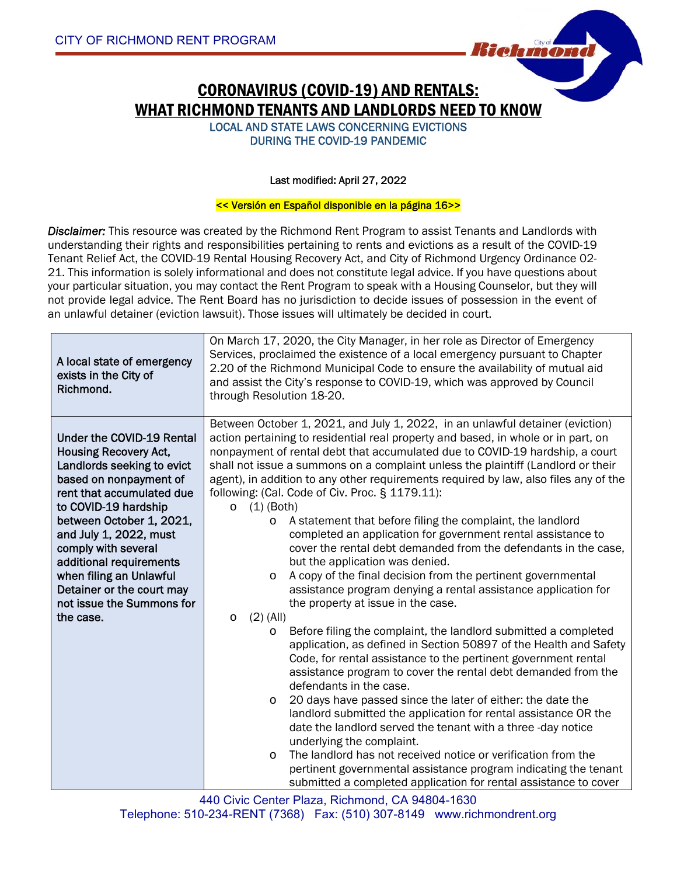

LOCAL AND STATE LAWS CONCERNING EVICTIONS DURING THE COVID-19 PANDEMIC

### Last modified: April 27, 2022

#### << Versión en Español disponible en la página 16>>

*Disclaimer:* This resource was created by the Richmond Rent Program to assist Tenants and Landlords with understanding their rights and responsibilities pertaining to rents and evictions as a result of the COVID-19 Tenant Relief Act, the COVID-19 Rental Housing Recovery Act, and City of Richmond Urgency Ordinance 02- 21. This information is solely informational and does not constitute legal advice. If you have questions about your particular situation, you may contact the Rent Program to speak with a Housing Counselor, but they will not provide legal advice. The Rent Board has no jurisdiction to decide issues of possession in the event of an unlawful detainer (eviction lawsuit). Those issues will ultimately be decided in court.

| A local state of emergency<br>exists in the City of<br>Richmond.                                                                                                                                                                                                                                                                                                                        | On March 17, 2020, the City Manager, in her role as Director of Emergency<br>Services, proclaimed the existence of a local emergency pursuant to Chapter<br>2.20 of the Richmond Municipal Code to ensure the availability of mutual aid<br>and assist the City's response to COVID-19, which was approved by Council<br>through Resolution 18-20.                                                                                                                                                                                                                                                                                                                                                                                                                                                                                                                                                                                                                                                                                                                                                                                                                                                                                                                                                                                                                                                                                                                                                                                                                                                                                                                                                                                                    |
|-----------------------------------------------------------------------------------------------------------------------------------------------------------------------------------------------------------------------------------------------------------------------------------------------------------------------------------------------------------------------------------------|-------------------------------------------------------------------------------------------------------------------------------------------------------------------------------------------------------------------------------------------------------------------------------------------------------------------------------------------------------------------------------------------------------------------------------------------------------------------------------------------------------------------------------------------------------------------------------------------------------------------------------------------------------------------------------------------------------------------------------------------------------------------------------------------------------------------------------------------------------------------------------------------------------------------------------------------------------------------------------------------------------------------------------------------------------------------------------------------------------------------------------------------------------------------------------------------------------------------------------------------------------------------------------------------------------------------------------------------------------------------------------------------------------------------------------------------------------------------------------------------------------------------------------------------------------------------------------------------------------------------------------------------------------------------------------------------------------------------------------------------------------|
| <b>Under the COVID-19 Rental</b><br><b>Housing Recovery Act,</b><br>Landlords seeking to evict<br>based on nonpayment of<br>rent that accumulated due<br>to COVID-19 hardship<br>between October 1, 2021,<br>and July 1, 2022, must<br>comply with several<br>additional requirements<br>when filing an Unlawful<br>Detainer or the court may<br>not issue the Summons for<br>the case. | Between October 1, 2021, and July 1, 2022, in an unlawful detainer (eviction)<br>action pertaining to residential real property and based, in whole or in part, on<br>nonpayment of rental debt that accumulated due to COVID-19 hardship, a court<br>shall not issue a summons on a complaint unless the plaintiff (Landlord or their<br>agent), in addition to any other requirements required by law, also files any of the<br>following: (Cal. Code of Civ. Proc. § 1179.11):<br>$(1)$ (Both)<br>$\circ$<br>A statement that before filing the complaint, the landlord<br>$\circ$<br>completed an application for government rental assistance to<br>cover the rental debt demanded from the defendants in the case,<br>but the application was denied.<br>A copy of the final decision from the pertinent governmental<br>$\circ$<br>assistance program denying a rental assistance application for<br>the property at issue in the case.<br>$(2)$ (All)<br>$\circ$<br>Before filing the complaint, the landlord submitted a completed<br>$\circ$<br>application, as defined in Section 50897 of the Health and Safety<br>Code, for rental assistance to the pertinent government rental<br>assistance program to cover the rental debt demanded from the<br>defendants in the case.<br>20 days have passed since the later of either: the date the<br>$\circ$<br>landlord submitted the application for rental assistance OR the<br>date the landlord served the tenant with a three-day notice<br>underlying the complaint.<br>The landlord has not received notice or verification from the<br>$\circ$<br>pertinent governmental assistance program indicating the tenant<br>submitted a completed application for rental assistance to cover |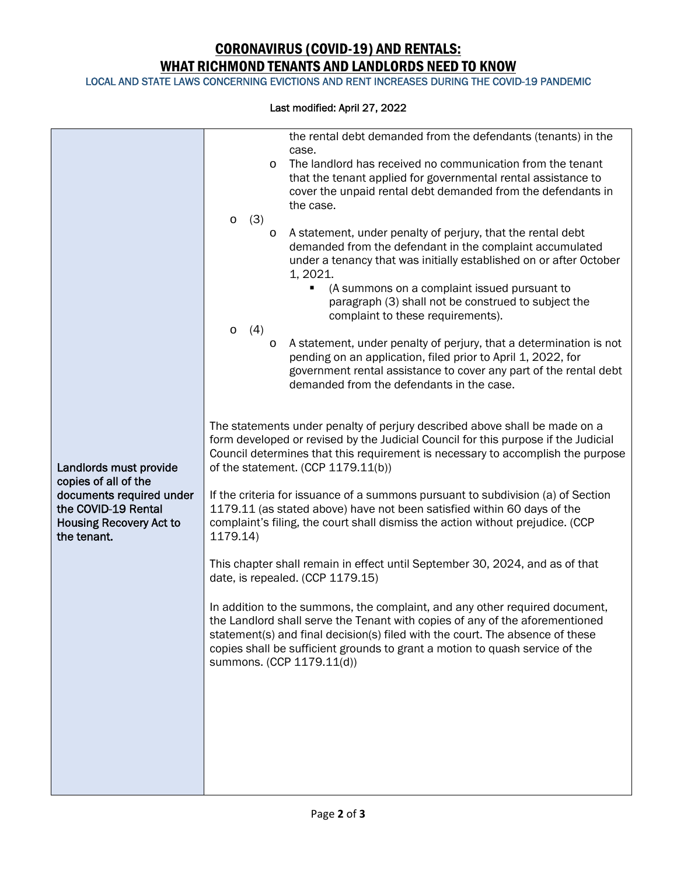LOCAL AND STATE LAWS CONCERNING EVICTIONS AND RENT INCREASES DURING THE COVID-19 PANDEMIC

|                                                                                                                                                    | the rental debt demanded from the defendants (tenants) in the<br>case.<br>The landlord has received no communication from the tenant<br>$\circ$<br>that the tenant applied for governmental rental assistance to<br>cover the unpaid rental debt demanded from the defendants in<br>the case.<br>(3)<br>$\circ$<br>A statement, under penalty of perjury, that the rental debt<br>$\circ$<br>demanded from the defendant in the complaint accumulated<br>under a tenancy that was initially established on or after October<br>1, 2021.<br>(A summons on a complaint issued pursuant to<br>٠<br>paragraph (3) shall not be construed to subject the<br>complaint to these requirements).<br>(4)<br>$\circ$<br>A statement, under penalty of perjury, that a determination is not<br>O<br>pending on an application, filed prior to April 1, 2022, for<br>government rental assistance to cover any part of the rental debt<br>demanded from the defendants in the case.                                                                 |
|----------------------------------------------------------------------------------------------------------------------------------------------------|-----------------------------------------------------------------------------------------------------------------------------------------------------------------------------------------------------------------------------------------------------------------------------------------------------------------------------------------------------------------------------------------------------------------------------------------------------------------------------------------------------------------------------------------------------------------------------------------------------------------------------------------------------------------------------------------------------------------------------------------------------------------------------------------------------------------------------------------------------------------------------------------------------------------------------------------------------------------------------------------------------------------------------------------|
| Landlords must provide<br>copies of all of the<br>documents required under<br>the COVID-19 Rental<br><b>Housing Recovery Act to</b><br>the tenant. | The statements under penalty of perjury described above shall be made on a<br>form developed or revised by the Judicial Council for this purpose if the Judicial<br>Council determines that this requirement is necessary to accomplish the purpose<br>of the statement. (CCP 1179.11(b))<br>If the criteria for issuance of a summons pursuant to subdivision (a) of Section<br>1179.11 (as stated above) have not been satisfied within 60 days of the<br>complaint's filing, the court shall dismiss the action without prejudice. (CCP<br>1179.14)<br>This chapter shall remain in effect until September 30, 2024, and as of that<br>date, is repealed. (CCP 1179.15)<br>In addition to the summons, the complaint, and any other required document,<br>the Landlord shall serve the Tenant with copies of any of the aforementioned<br>statement(s) and final decision(s) filed with the court. The absence of these<br>copies shall be sufficient grounds to grant a motion to quash service of the<br>summons. (CCP 1179.11(d)) |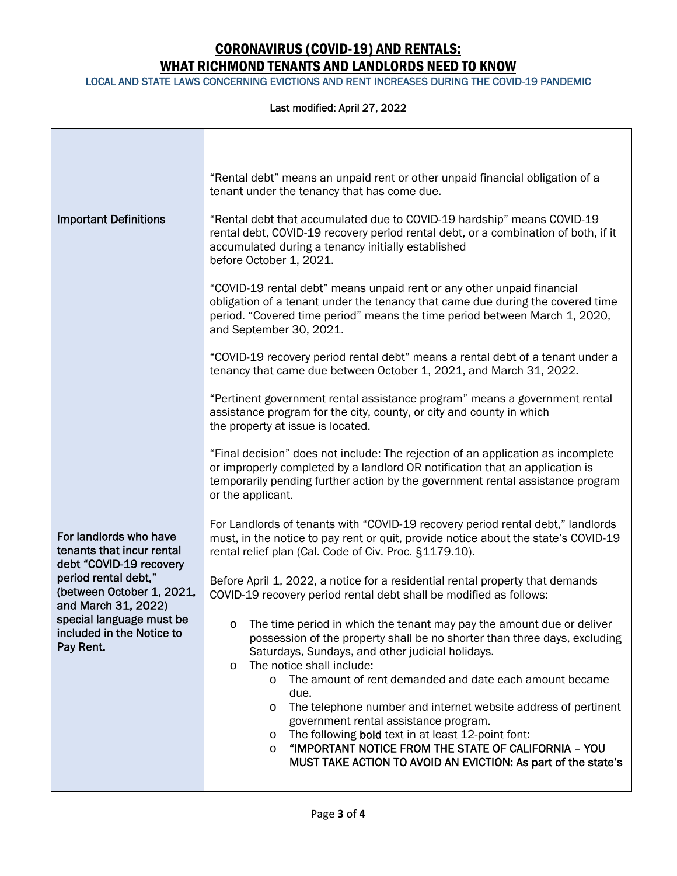LOCAL AND STATE LAWS CONCERNING EVICTIONS AND RENT INCREASES DURING THE COVID-19 PANDEMIC

|                                                                                | "Rental debt" means an unpaid rent or other unpaid financial obligation of a<br>tenant under the tenancy that has come due.                                                                                                                                             |
|--------------------------------------------------------------------------------|-------------------------------------------------------------------------------------------------------------------------------------------------------------------------------------------------------------------------------------------------------------------------|
| <b>Important Definitions</b>                                                   | "Rental debt that accumulated due to COVID-19 hardship" means COVID-19<br>rental debt, COVID-19 recovery period rental debt, or a combination of both, if it<br>accumulated during a tenancy initially established<br>before October 1, 2021.                           |
|                                                                                | "COVID-19 rental debt" means unpaid rent or any other unpaid financial<br>obligation of a tenant under the tenancy that came due during the covered time<br>period. "Covered time period" means the time period between March 1, 2020,<br>and September 30, 2021.       |
|                                                                                | "COVID-19 recovery period rental debt" means a rental debt of a tenant under a<br>tenancy that came due between October 1, 2021, and March 31, 2022.                                                                                                                    |
|                                                                                | "Pertinent government rental assistance program" means a government rental<br>assistance program for the city, county, or city and county in which<br>the property at issue is located.                                                                                 |
|                                                                                | "Final decision" does not include: The rejection of an application as incomplete<br>or improperly completed by a landlord OR notification that an application is<br>temporarily pending further action by the government rental assistance program<br>or the applicant. |
| For landlords who have<br>tenants that incur rental<br>debt "COVID-19 recovery | For Landlords of tenants with "COVID-19 recovery period rental debt," landlords<br>must, in the notice to pay rent or quit, provide notice about the state's COVID-19<br>rental relief plan (Cal. Code of Civ. Proc. §1179.10).                                         |
| period rental debt,"<br>(between October 1, 2021,<br>and March 31, 2022)       | Before April 1, 2022, a notice for a residential rental property that demands<br>COVID-19 recovery period rental debt shall be modified as follows:                                                                                                                     |
| special language must be<br>included in the Notice to<br>Pay Rent.             | $\circ$ The time period in which the tenant may pay the amount due or deliver<br>possession of the property shall be no shorter than three days, excluding<br>Saturdays, Sundays, and other judicial holidays.<br>The notice shall include:<br>$\circ$                  |
|                                                                                | The amount of rent demanded and date each amount became<br>$\circ$<br>due.<br>The telephone number and internet website address of pertinent<br>$\circ$                                                                                                                 |
|                                                                                | government rental assistance program.<br>The following bold text in at least 12-point font:<br>O<br>"IMPORTANT NOTICE FROM THE STATE OF CALIFORNIA - YOU<br>$\circ$<br>MUST TAKE ACTION TO AVOID AN EVICTION: As part of the state's                                    |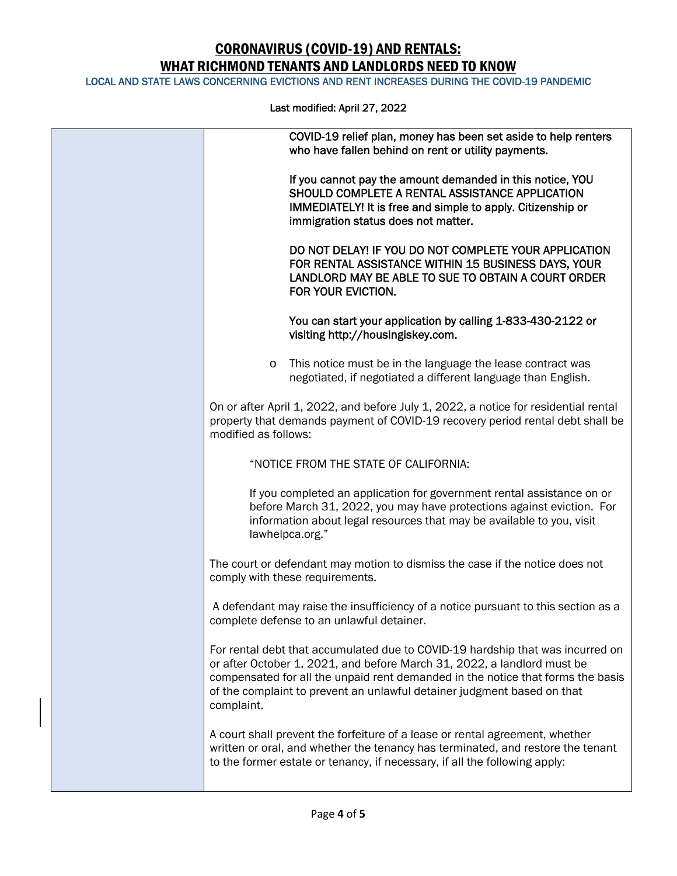LOCAL AND STATE LAWS CONCERNING EVICTIONS AND RENT INCREASES DURING THE COVID-19 PANDEMIC

| COVID-19 relief plan, money has been set aside to help renters<br>who have fallen behind on rent or utility payments.                                                                                                                                                                                                                 |
|---------------------------------------------------------------------------------------------------------------------------------------------------------------------------------------------------------------------------------------------------------------------------------------------------------------------------------------|
| If you cannot pay the amount demanded in this notice, YOU<br>SHOULD COMPLETE A RENTAL ASSISTANCE APPLICATION<br>IMMEDIATELY! It is free and simple to apply. Citizenship or<br>immigration status does not matter.                                                                                                                    |
| DO NOT DELAY! IF YOU DO NOT COMPLETE YOUR APPLICATION<br>FOR RENTAL ASSISTANCE WITHIN 15 BUSINESS DAYS, YOUR<br>LANDLORD MAY BE ABLE TO SUE TO OBTAIN A COURT ORDER<br>FOR YOUR EVICTION.                                                                                                                                             |
| You can start your application by calling 1-833-430-2122 or<br>visiting http://housingiskey.com.                                                                                                                                                                                                                                      |
| This notice must be in the language the lease contract was<br>$\circ$<br>negotiated, if negotiated a different language than English.                                                                                                                                                                                                 |
| On or after April 1, 2022, and before July 1, 2022, a notice for residential rental<br>property that demands payment of COVID-19 recovery period rental debt shall be<br>modified as follows:                                                                                                                                         |
| "NOTICE FROM THE STATE OF CALIFORNIA:                                                                                                                                                                                                                                                                                                 |
| If you completed an application for government rental assistance on or<br>before March 31, 2022, you may have protections against eviction. For<br>information about legal resources that may be available to you, visit<br>lawhelpca.org."                                                                                           |
| The court or defendant may motion to dismiss the case if the notice does not<br>comply with these requirements.                                                                                                                                                                                                                       |
| A defendant may raise the insufficiency of a notice pursuant to this section as a<br>complete defense to an unlawful detainer.                                                                                                                                                                                                        |
| For rental debt that accumulated due to COVID-19 hardship that was incurred on<br>or after October 1, 2021, and before March 31, 2022, a landlord must be<br>compensated for all the unpaid rent demanded in the notice that forms the basis<br>of the complaint to prevent an unlawful detainer judgment based on that<br>complaint. |
| A court shall prevent the forfeiture of a lease or rental agreement, whether<br>written or oral, and whether the tenancy has terminated, and restore the tenant<br>to the former estate or tenancy, if necessary, if all the following apply:                                                                                         |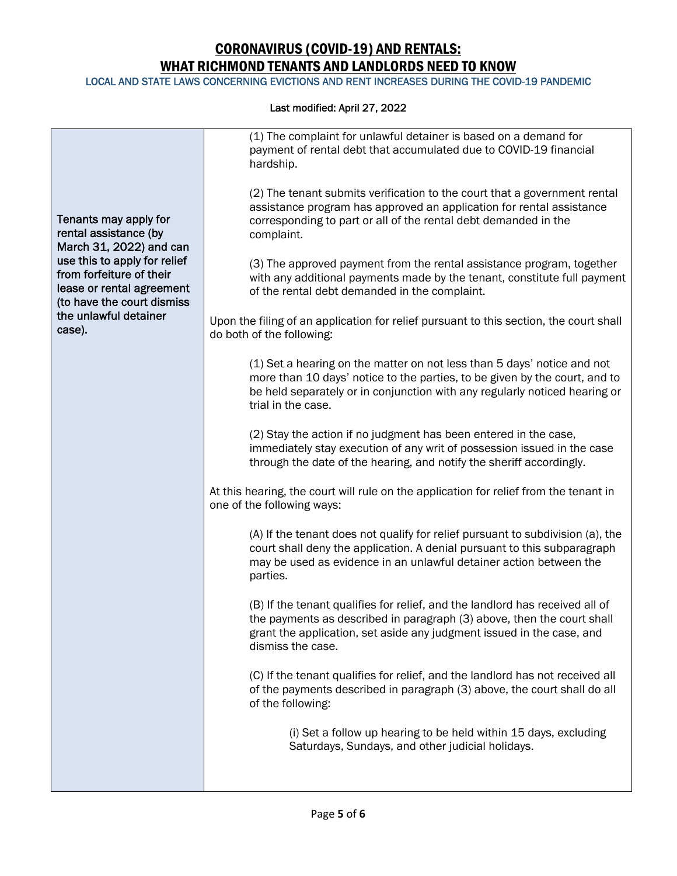LOCAL AND STATE LAWS CONCERNING EVICTIONS AND RENT INCREASES DURING THE COVID-19 PANDEMIC

|                                                                                                                                                                                                  |                                                                                                                                                                                                    | (1) The complaint for unlawful detainer is based on a demand for<br>payment of rental debt that accumulated due to COVID-19 financial<br>hardship.                                                                                                        |
|--------------------------------------------------------------------------------------------------------------------------------------------------------------------------------------------------|----------------------------------------------------------------------------------------------------------------------------------------------------------------------------------------------------|-----------------------------------------------------------------------------------------------------------------------------------------------------------------------------------------------------------------------------------------------------------|
| Tenants may apply for<br>rental assistance (by<br>March 31, 2022) and can<br>use this to apply for relief<br>from forfeiture of their<br>lease or rental agreement<br>(to have the court dismiss |                                                                                                                                                                                                    | (2) The tenant submits verification to the court that a government rental<br>assistance program has approved an application for rental assistance<br>corresponding to part or all of the rental debt demanded in the<br>complaint.                        |
|                                                                                                                                                                                                  | (3) The approved payment from the rental assistance program, together<br>with any additional payments made by the tenant, constitute full payment<br>of the rental debt demanded in the complaint. |                                                                                                                                                                                                                                                           |
|                                                                                                                                                                                                  | the unlawful detainer<br>case).                                                                                                                                                                    | Upon the filing of an application for relief pursuant to this section, the court shall<br>do both of the following:                                                                                                                                       |
|                                                                                                                                                                                                  |                                                                                                                                                                                                    | (1) Set a hearing on the matter on not less than 5 days' notice and not<br>more than 10 days' notice to the parties, to be given by the court, and to<br>be held separately or in conjunction with any regularly noticed hearing or<br>trial in the case. |
|                                                                                                                                                                                                  |                                                                                                                                                                                                    | (2) Stay the action if no judgment has been entered in the case,<br>immediately stay execution of any writ of possession issued in the case<br>through the date of the hearing, and notify the sheriff accordingly.                                       |
|                                                                                                                                                                                                  |                                                                                                                                                                                                    | At this hearing, the court will rule on the application for relief from the tenant in<br>one of the following ways:                                                                                                                                       |
|                                                                                                                                                                                                  |                                                                                                                                                                                                    | (A) If the tenant does not qualify for relief pursuant to subdivision (a), the<br>court shall deny the application. A denial pursuant to this subparagraph<br>may be used as evidence in an unlawful detainer action between the<br>parties.              |
|                                                                                                                                                                                                  |                                                                                                                                                                                                    | (B) If the tenant qualifies for relief, and the landlord has received all of<br>the payments as described in paragraph (3) above, then the court shall<br>grant the application, set aside any judgment issued in the case, and<br>dismiss the case.      |
|                                                                                                                                                                                                  |                                                                                                                                                                                                    | (C) If the tenant qualifies for relief, and the landlord has not received all<br>of the payments described in paragraph (3) above, the court shall do all<br>of the following:                                                                            |
|                                                                                                                                                                                                  |                                                                                                                                                                                                    | (i) Set a follow up hearing to be held within 15 days, excluding<br>Saturdays, Sundays, and other judicial holidays.                                                                                                                                      |
|                                                                                                                                                                                                  |                                                                                                                                                                                                    |                                                                                                                                                                                                                                                           |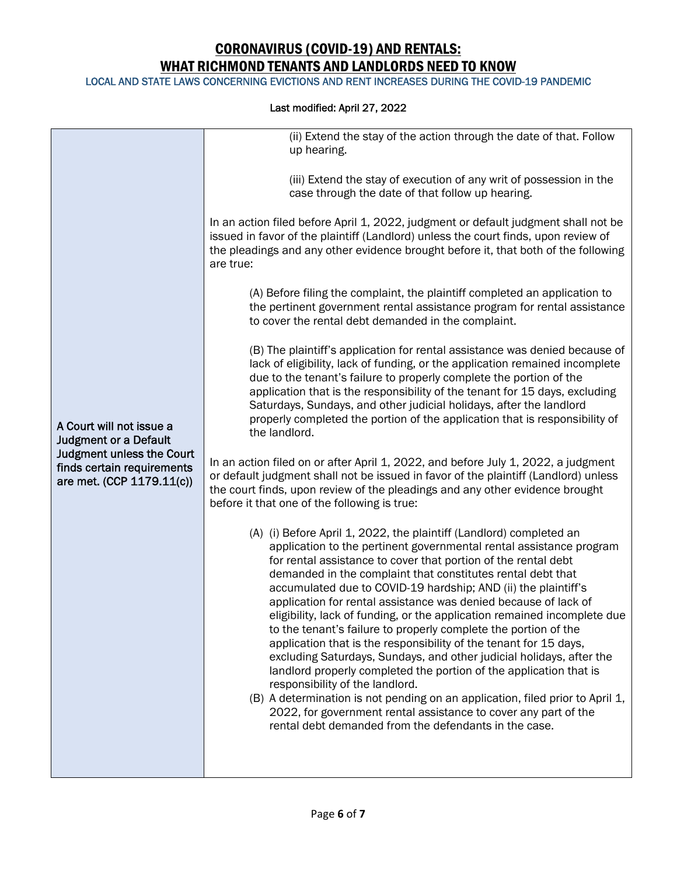LOCAL AND STATE LAWS CONCERNING EVICTIONS AND RENT INCREASES DURING THE COVID-19 PANDEMIC

|                                                                                                                                                         | (ii) Extend the stay of the action through the date of that. Follow<br>up hearing.                                                                                                                                                                                                                                                                                                                                                                                                                                                                                                                                                                                                                                                                                                                                                                                                                                                                                                                                                 |
|---------------------------------------------------------------------------------------------------------------------------------------------------------|------------------------------------------------------------------------------------------------------------------------------------------------------------------------------------------------------------------------------------------------------------------------------------------------------------------------------------------------------------------------------------------------------------------------------------------------------------------------------------------------------------------------------------------------------------------------------------------------------------------------------------------------------------------------------------------------------------------------------------------------------------------------------------------------------------------------------------------------------------------------------------------------------------------------------------------------------------------------------------------------------------------------------------|
|                                                                                                                                                         |                                                                                                                                                                                                                                                                                                                                                                                                                                                                                                                                                                                                                                                                                                                                                                                                                                                                                                                                                                                                                                    |
|                                                                                                                                                         | (iii) Extend the stay of execution of any writ of possession in the<br>case through the date of that follow up hearing.                                                                                                                                                                                                                                                                                                                                                                                                                                                                                                                                                                                                                                                                                                                                                                                                                                                                                                            |
|                                                                                                                                                         | In an action filed before April 1, 2022, judgment or default judgment shall not be<br>issued in favor of the plaintiff (Landlord) unless the court finds, upon review of<br>the pleadings and any other evidence brought before it, that both of the following<br>are true:                                                                                                                                                                                                                                                                                                                                                                                                                                                                                                                                                                                                                                                                                                                                                        |
|                                                                                                                                                         | (A) Before filing the complaint, the plaintiff completed an application to<br>the pertinent government rental assistance program for rental assistance<br>to cover the rental debt demanded in the complaint.                                                                                                                                                                                                                                                                                                                                                                                                                                                                                                                                                                                                                                                                                                                                                                                                                      |
| A Court will not issue a<br><b>Judgment or a Default</b><br><b>Judgment unless the Court</b><br>finds certain requirements<br>are met. (CCP 1179.11(c)) | (B) The plaintiff's application for rental assistance was denied because of<br>lack of eligibility, lack of funding, or the application remained incomplete<br>due to the tenant's failure to properly complete the portion of the<br>application that is the responsibility of the tenant for 15 days, excluding<br>Saturdays, Sundays, and other judicial holidays, after the landlord<br>properly completed the portion of the application that is responsibility of<br>the landlord.                                                                                                                                                                                                                                                                                                                                                                                                                                                                                                                                           |
|                                                                                                                                                         | In an action filed on or after April 1, 2022, and before July 1, 2022, a judgment<br>or default judgment shall not be issued in favor of the plaintiff (Landlord) unless<br>the court finds, upon review of the pleadings and any other evidence brought<br>before it that one of the following is true:                                                                                                                                                                                                                                                                                                                                                                                                                                                                                                                                                                                                                                                                                                                           |
|                                                                                                                                                         | (A) (i) Before April 1, 2022, the plaintiff (Landlord) completed an<br>application to the pertinent governmental rental assistance program<br>for rental assistance to cover that portion of the rental debt<br>demanded in the complaint that constitutes rental debt that<br>accumulated due to COVID-19 hardship; AND (ii) the plaintiff's<br>application for rental assistance was denied because of lack of<br>eligibility, lack of funding, or the application remained incomplete due<br>to the tenant's failure to properly complete the portion of the<br>application that is the responsibility of the tenant for 15 days,<br>excluding Saturdays, Sundays, and other judicial holidays, after the<br>landlord properly completed the portion of the application that is<br>responsibility of the landlord.<br>(B) A determination is not pending on an application, filed prior to April 1,<br>2022, for government rental assistance to cover any part of the<br>rental debt demanded from the defendants in the case. |
|                                                                                                                                                         |                                                                                                                                                                                                                                                                                                                                                                                                                                                                                                                                                                                                                                                                                                                                                                                                                                                                                                                                                                                                                                    |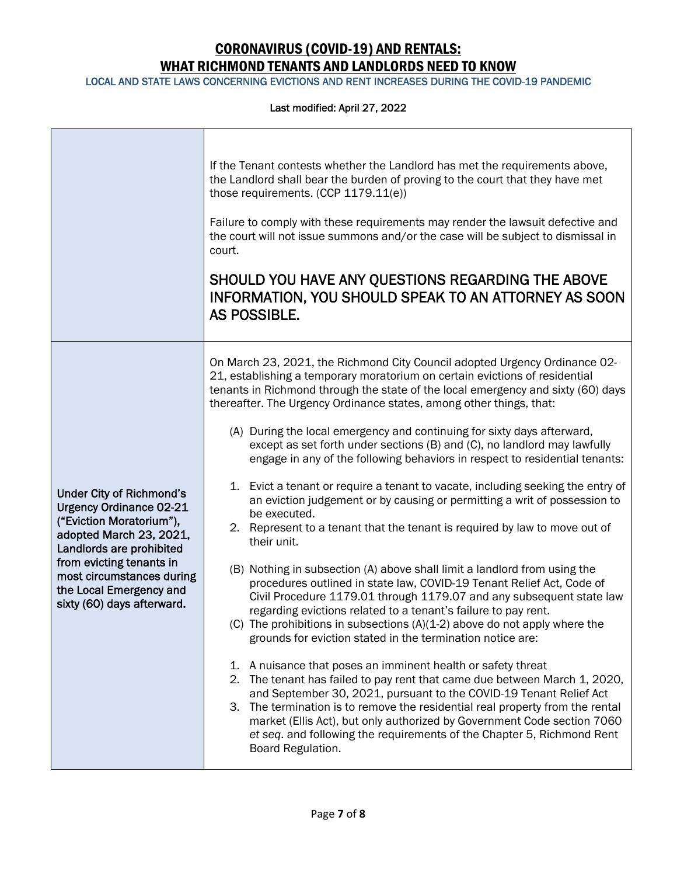LOCAL AND STATE LAWS CONCERNING EVICTIONS AND RENT INCREASES DURING THE COVID-19 PANDEMIC

|                                                                                                                                                                                                                                                                        | If the Tenant contests whether the Landlord has met the requirements above,<br>the Landlord shall bear the burden of proving to the court that they have met<br>those requirements. (CCP 1179.11(e))<br>Failure to comply with these requirements may render the lawsuit defective and<br>the court will not issue summons and/or the case will be subject to dismissal in<br>court.<br>SHOULD YOU HAVE ANY QUESTIONS REGARDING THE ABOVE<br>INFORMATION, YOU SHOULD SPEAK TO AN ATTORNEY AS SOON<br>AS POSSIBLE.                                                                                                                                                                                                                                                                                                                                                                                                                                                                                                                                                                                                                                                                                                                                                                                                                                                                                                                                                                                                                                                                                                                                                                                                                                                  |
|------------------------------------------------------------------------------------------------------------------------------------------------------------------------------------------------------------------------------------------------------------------------|--------------------------------------------------------------------------------------------------------------------------------------------------------------------------------------------------------------------------------------------------------------------------------------------------------------------------------------------------------------------------------------------------------------------------------------------------------------------------------------------------------------------------------------------------------------------------------------------------------------------------------------------------------------------------------------------------------------------------------------------------------------------------------------------------------------------------------------------------------------------------------------------------------------------------------------------------------------------------------------------------------------------------------------------------------------------------------------------------------------------------------------------------------------------------------------------------------------------------------------------------------------------------------------------------------------------------------------------------------------------------------------------------------------------------------------------------------------------------------------------------------------------------------------------------------------------------------------------------------------------------------------------------------------------------------------------------------------------------------------------------------------------|
| <b>Under City of Richmond's</b><br><b>Urgency Ordinance 02-21</b><br>("Eviction Moratorium"),<br>adopted March 23, 2021,<br>Landlords are prohibited<br>from evicting tenants in<br>most circumstances during<br>the Local Emergency and<br>sixty (60) days afterward. | On March 23, 2021, the Richmond City Council adopted Urgency Ordinance 02-<br>21, establishing a temporary moratorium on certain evictions of residential<br>tenants in Richmond through the state of the local emergency and sixty (60) days<br>thereafter. The Urgency Ordinance states, among other things, that:<br>(A) During the local emergency and continuing for sixty days afterward,<br>except as set forth under sections (B) and (C), no landlord may lawfully<br>engage in any of the following behaviors in respect to residential tenants:<br>1. Evict a tenant or require a tenant to vacate, including seeking the entry of<br>an eviction judgement or by causing or permitting a writ of possession to<br>be executed.<br>2. Represent to a tenant that the tenant is required by law to move out of<br>their unit.<br>(B) Nothing in subsection (A) above shall limit a landlord from using the<br>procedures outlined in state law, COVID-19 Tenant Relief Act, Code of<br>Civil Procedure 1179.01 through 1179.07 and any subsequent state law<br>regarding evictions related to a tenant's failure to pay rent.<br>(C) The prohibitions in subsections $(A)(1-2)$ above do not apply where the<br>grounds for eviction stated in the termination notice are:<br>1. A nuisance that poses an imminent health or safety threat<br>2. The tenant has failed to pay rent that came due between March 1, 2020,<br>and September 30, 2021, pursuant to the COVID-19 Tenant Relief Act<br>3. The termination is to remove the residential real property from the rental<br>market (Ellis Act), but only authorized by Government Code section 7060<br>et seq. and following the requirements of the Chapter 5, Richmond Rent<br>Board Regulation. |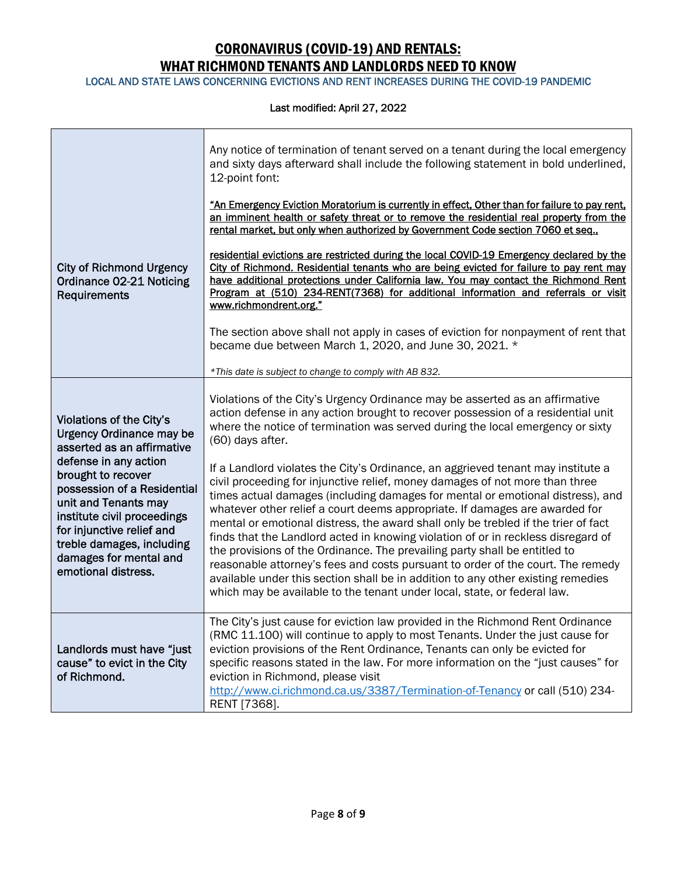LOCAL AND STATE LAWS CONCERNING EVICTIONS AND RENT INCREASES DURING THE COVID-19 PANDEMIC

|                                                                                                                                                                                                                                              | Any notice of termination of tenant served on a tenant during the local emergency<br>and sixty days afterward shall include the following statement in bold underlined,<br>12-point font:                                                                                                                                                                                                                                                                                                                                                                                                                                                                                                                                                                                                                                                     |
|----------------------------------------------------------------------------------------------------------------------------------------------------------------------------------------------------------------------------------------------|-----------------------------------------------------------------------------------------------------------------------------------------------------------------------------------------------------------------------------------------------------------------------------------------------------------------------------------------------------------------------------------------------------------------------------------------------------------------------------------------------------------------------------------------------------------------------------------------------------------------------------------------------------------------------------------------------------------------------------------------------------------------------------------------------------------------------------------------------|
|                                                                                                                                                                                                                                              | "An Emergency Eviction Moratorium is currently in effect, Other than for failure to pay rent,<br>an imminent health or safety threat or to remove the residential real property from the<br>rental market, but only when authorized by Government Code section 7060 et seq.,                                                                                                                                                                                                                                                                                                                                                                                                                                                                                                                                                                  |
| <b>City of Richmond Urgency</b><br>Ordinance 02-21 Noticing<br>Requirements                                                                                                                                                                  | residential evictions are restricted during the local COVID-19 Emergency declared by the<br>City of Richmond. Residential tenants who are being evicted for failure to pay rent may<br>have additional protections under California law. You may contact the Richmond Rent<br>Program at (510) 234-RENT(7368) for additional information and referrals or visit<br>www.richmondrent.org."                                                                                                                                                                                                                                                                                                                                                                                                                                                     |
|                                                                                                                                                                                                                                              | The section above shall not apply in cases of eviction for nonpayment of rent that<br>became due between March 1, 2020, and June 30, 2021. *                                                                                                                                                                                                                                                                                                                                                                                                                                                                                                                                                                                                                                                                                                  |
|                                                                                                                                                                                                                                              | *This date is subject to change to comply with AB 832.                                                                                                                                                                                                                                                                                                                                                                                                                                                                                                                                                                                                                                                                                                                                                                                        |
| Violations of the City's<br><b>Urgency Ordinance may be</b><br>asserted as an affirmative                                                                                                                                                    | Violations of the City's Urgency Ordinance may be asserted as an affirmative<br>action defense in any action brought to recover possession of a residential unit<br>where the notice of termination was served during the local emergency or sixty<br>(60) days after.                                                                                                                                                                                                                                                                                                                                                                                                                                                                                                                                                                        |
| defense in any action<br>brought to recover<br>possession of a Residential<br>unit and Tenants may<br>institute civil proceedings<br>for injunctive relief and<br>treble damages, including<br>damages for mental and<br>emotional distress. | If a Landlord violates the City's Ordinance, an aggrieved tenant may institute a<br>civil proceeding for injunctive relief, money damages of not more than three<br>times actual damages (including damages for mental or emotional distress), and<br>whatever other relief a court deems appropriate. If damages are awarded for<br>mental or emotional distress, the award shall only be trebled if the trier of fact<br>finds that the Landlord acted in knowing violation of or in reckless disregard of<br>the provisions of the Ordinance. The prevailing party shall be entitled to<br>reasonable attorney's fees and costs pursuant to order of the court. The remedy<br>available under this section shall be in addition to any other existing remedies<br>which may be available to the tenant under local, state, or federal law. |
| Landlords must have "just<br>cause" to evict in the City<br>of Richmond.                                                                                                                                                                     | The City's just cause for eviction law provided in the Richmond Rent Ordinance<br>(RMC 11.100) will continue to apply to most Tenants. Under the just cause for<br>eviction provisions of the Rent Ordinance, Tenants can only be evicted for<br>specific reasons stated in the law. For more information on the "just causes" for<br>eviction in Richmond, please visit<br>http://www.ci.richmond.ca.us/3387/Termination-of-Tenancy or call (510) 234-<br>RENT [7368].                                                                                                                                                                                                                                                                                                                                                                       |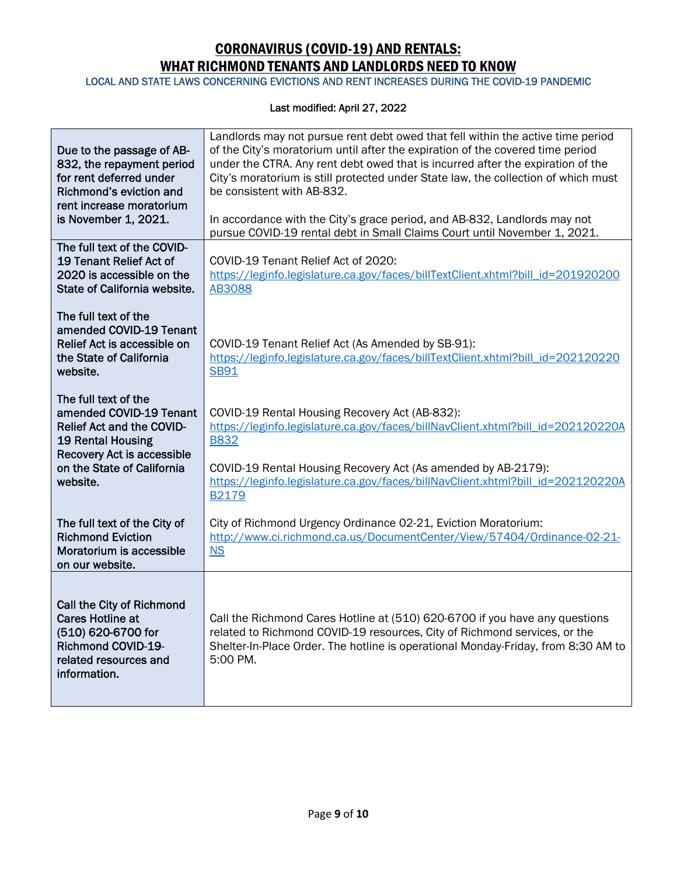LOCAL AND STATE LAWS CONCERNING EVICTIONS AND RENT INCREASES DURING THE COVID-19 PANDEMIC

| Due to the passage of AB-<br>832, the repayment period<br>for rent deferred under<br>Richmond's eviction and<br>rent increase moratorium<br>is November 1, 2021. | Landlords may not pursue rent debt owed that fell within the active time period<br>of the City's moratorium until after the expiration of the covered time period<br>under the CTRA. Any rent debt owed that is incurred after the expiration of the<br>City's moratorium is still protected under State law, the collection of which must<br>be consistent with AB-832.<br>In accordance with the City's grace period, and AB-832, Landlords may not |
|------------------------------------------------------------------------------------------------------------------------------------------------------------------|-------------------------------------------------------------------------------------------------------------------------------------------------------------------------------------------------------------------------------------------------------------------------------------------------------------------------------------------------------------------------------------------------------------------------------------------------------|
| The full text of the COVID-                                                                                                                                      | pursue COVID-19 rental debt in Small Claims Court until November 1, 2021.                                                                                                                                                                                                                                                                                                                                                                             |
| 19 Tenant Relief Act of<br>2020 is accessible on the<br>State of California website.                                                                             | COVID-19 Tenant Relief Act of 2020:<br>https://leginfo.legislature.ca.gov/faces/billTextClient.xhtml?bill_id=201920200<br><b>AB3088</b>                                                                                                                                                                                                                                                                                                               |
| The full text of the<br>amended COVID-19 Tenant<br>Relief Act is accessible on<br>the State of California<br>website.                                            | COVID-19 Tenant Relief Act (As Amended by SB-91):<br>https://leginfo.legislature.ca.gov/faces/billTextClient.xhtml?bill_id=202120220<br><b>SB91</b>                                                                                                                                                                                                                                                                                                   |
| The full text of the<br>amended COVID-19 Tenant<br>Relief Act and the COVID-<br>19 Rental Housing<br><b>Recovery Act is accessible</b>                           | COVID-19 Rental Housing Recovery Act (AB-832):<br>https://leginfo.legislature.ca.gov/faces/billNavClient.xhtml?bill_id=202120220A<br><b>B832</b>                                                                                                                                                                                                                                                                                                      |
| on the State of California<br>website.                                                                                                                           | COVID-19 Rental Housing Recovery Act (As amended by AB-2179):<br>https://leginfo.legislature.ca.gov/faces/billNavClient.xhtml?bill_id=202120220A<br>B2179                                                                                                                                                                                                                                                                                             |
| The full text of the City of<br><b>Richmond Eviction</b><br>Moratorium is accessible<br>on our website.                                                          | City of Richmond Urgency Ordinance 02-21, Eviction Moratorium:<br>http://www.ci.richmond.ca.us/DocumentCenter/View/57404/Ordinance-02-21-<br><b>NS</b>                                                                                                                                                                                                                                                                                                |
| Call the City of Richmond<br><b>Cares Hotline at</b><br>(510) 620-6700 for<br><b>Richmond COVID-19-</b><br>related resources and<br>information.                 | Call the Richmond Cares Hotline at (510) 620-6700 if you have any questions<br>related to Richmond COVID-19 resources, City of Richmond services, or the<br>Shelter-In-Place Order. The hotline is operational Monday-Friday, from 8:30 AM to<br>5:00 PM.                                                                                                                                                                                             |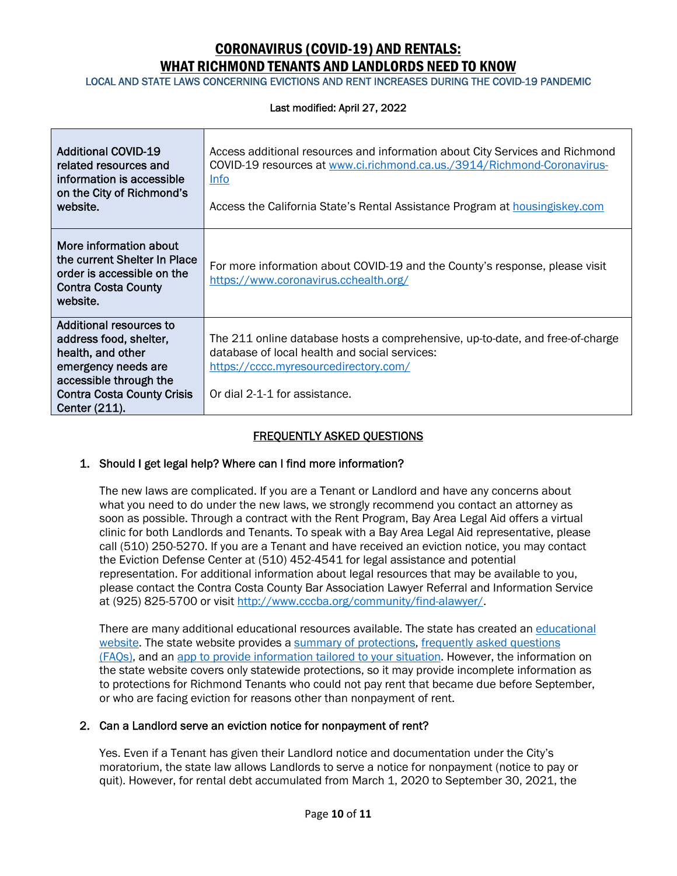LOCAL AND STATE LAWS CONCERNING EVICTIONS AND RENT INCREASES DURING THE COVID-19 PANDEMIC

#### Last modified: April 27, 2022

| <b>Additional COVID-19</b><br>related resources and<br>information is accessible<br>on the City of Richmond's<br>website.                                                            | Access additional resources and information about City Services and Richmond<br>COVID-19 resources at www.ci.richmond.ca.us./3914/Richmond-Coronavirus-<br><b>Info</b><br>Access the California State's Rental Assistance Program at <b>housingiskey.com</b> |
|--------------------------------------------------------------------------------------------------------------------------------------------------------------------------------------|--------------------------------------------------------------------------------------------------------------------------------------------------------------------------------------------------------------------------------------------------------------|
| More information about<br>the current Shelter In Place<br>order is accessible on the<br><b>Contra Costa County</b><br>website.                                                       | For more information about COVID-19 and the County's response, please visit<br>https://www.coronavirus.cchealth.org/                                                                                                                                         |
| <b>Additional resources to</b><br>address food, shelter,<br>health, and other<br>emergency needs are<br>accessible through the<br><b>Contra Costa County Crisis</b><br>Center (211). | The 211 online database hosts a comprehensive, up-to-date, and free-of-charge<br>database of local health and social services:<br>https://cccc.myresourcedirectory.com/<br>Or dial 2-1-1 for assistance.                                                     |

### FREQUENTLY ASKED QUESTIONS

### 1. Should I get legal help? Where can I find more information?

The new laws are complicated. If you are a Tenant or Landlord and have any concerns about what you need to do under the new laws, we strongly recommend you contact an attorney as soon as possible. Through a contract with the Rent Program, Bay Area Legal Aid offers a virtual clinic for both Landlords and Tenants. To speak with a Bay Area Legal Aid representative, please call (510) 250-5270. If you are a Tenant and have received an eviction notice, you may contact the Eviction Defense Center at (510) 452-4541 for legal assistance and potential representation. For additional information about legal resources that may be available to you, please contact the Contra Costa County Bar Association Lawyer Referral and Information Service at (925) 825-5700 or visit http://www.cccba.org/community/find-alawyer/.

There are many additional educational resources available. The state has created an educational website. The state website provides a summary of protections, frequently asked questions (FAQs), and an app to provide information tailored to your situation. However, the information on the state website covers only statewide protections, so it may provide incomplete information as to protections for Richmond Tenants who could not pay rent that became due before September, or who are facing eviction for reasons other than nonpayment of rent.

### 2. Can a Landlord serve an eviction notice for nonpayment of rent?

Yes. Even if a Tenant has given their Landlord notice and documentation under the City's moratorium, the state law allows Landlords to serve a notice for nonpayment (notice to pay or quit). However, for rental debt accumulated from March 1, 2020 to September 30, 2021, the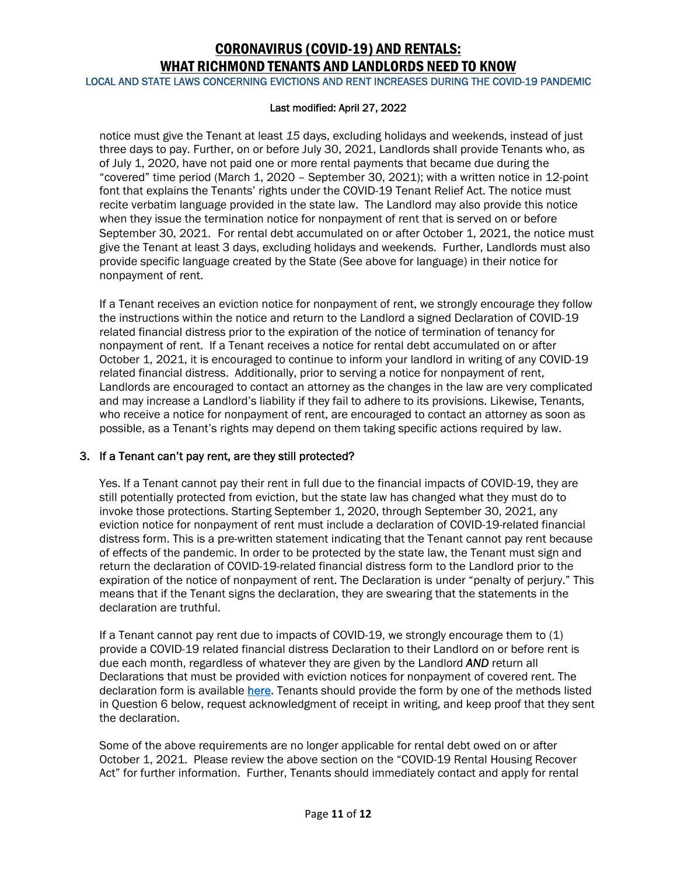LOCAL AND STATE LAWS CONCERNING EVICTIONS AND RENT INCREASES DURING THE COVID-19 PANDEMIC

#### Last modified: April 27, 2022

notice must give the Tenant at least *15* days, excluding holidays and weekends, instead of just three days to pay. Further, on or before July 30, 2021, Landlords shall provide Tenants who, as of July 1, 2020, have not paid one or more rental payments that became due during the "covered" time period (March 1, 2020 – September 30, 2021); with a written notice in 12-point font that explains the Tenants' rights under the COVID-19 Tenant Relief Act. The notice must recite verbatim language provided in the state law. The Landlord may also provide this notice when they issue the termination notice for nonpayment of rent that is served on or before September 30, 2021. For rental debt accumulated on or after October 1, 2021, the notice must give the Tenant at least 3 days, excluding holidays and weekends. Further, Landlords must also provide specific language created by the State (See above for language) in their notice for nonpayment of rent.

If a Tenant receives an eviction notice for nonpayment of rent, we strongly encourage they follow the instructions within the notice and return to the Landlord a signed Declaration of COVID-19 related financial distress prior to the expiration of the notice of termination of tenancy for nonpayment of rent. If a Tenant receives a notice for rental debt accumulated on or after October 1, 2021, it is encouraged to continue to inform your landlord in writing of any COVID-19 related financial distress. Additionally, prior to serving a notice for nonpayment of rent, Landlords are encouraged to contact an attorney as the changes in the law are very complicated and may increase a Landlord's liability if they fail to adhere to its provisions. Likewise, Tenants, who receive a notice for nonpayment of rent, are encouraged to contact an attorney as soon as possible, as a Tenant's rights may depend on them taking specific actions required by law.

### 3. If a Tenant can't pay rent, are they still protected?

Yes. If a Tenant cannot pay their rent in full due to the financial impacts of COVID-19, they are still potentially protected from eviction, but the state law has changed what they must do to invoke those protections. Starting September 1, 2020, through September 30, 2021, any eviction notice for nonpayment of rent must include a declaration of COVID-19-related financial distress form. This is a pre-written statement indicating that the Tenant cannot pay rent because of effects of the pandemic. In order to be protected by the state law, the Tenant must sign and return the declaration of COVID-19-related financial distress form to the Landlord prior to the expiration of the notice of nonpayment of rent. The Declaration is under "penalty of perjury." This means that if the Tenant signs the declaration, they are swearing that the statements in the declaration are truthful.

If a Tenant cannot pay rent due to impacts of COVID-19, we strongly encourage them to (1) provide a COVID-19 related financial distress Declaration to their Landlord on or before rent is due each month, regardless of whatever they are given by the Landlord *AND* return all Declarations that must be provided with eviction notices for nonpayment of covered rent. The declaration form is available here. Tenants should provide the form by one of the methods listed in Question 6 below, request acknowledgment of receipt in writing, and keep proof that they sent the declaration.

Some of the above requirements are no longer applicable for rental debt owed on or after October 1, 2021. Please review the above section on the "COVID-19 Rental Housing Recover Act" for further information. Further, Tenants should immediately contact and apply for rental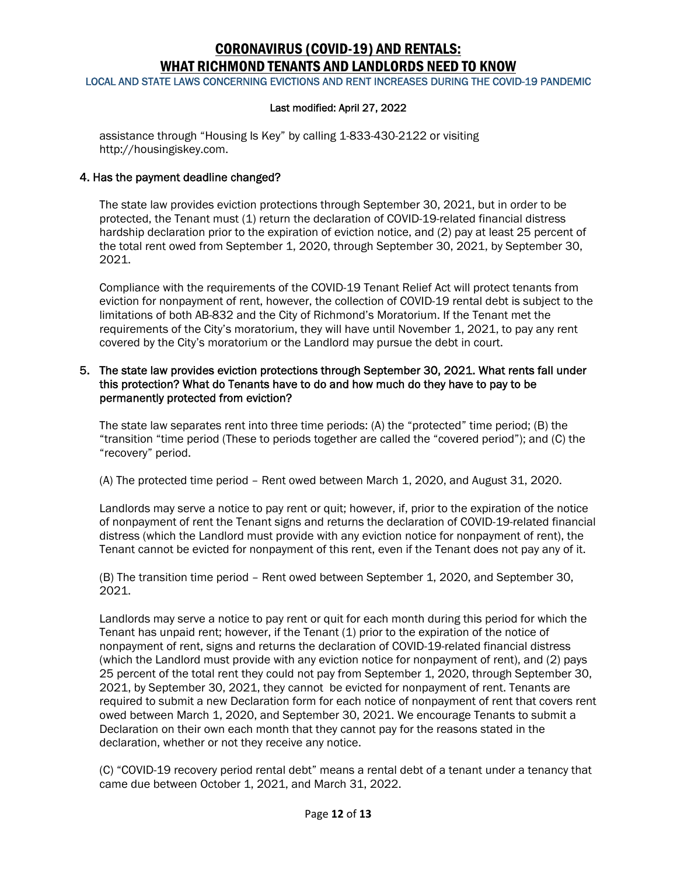LOCAL AND STATE LAWS CONCERNING EVICTIONS AND RENT INCREASES DURING THE COVID-19 PANDEMIC

#### Last modified: April 27, 2022

assistance through "Housing Is Key" by calling 1-833-430-2122 or visiting http://housingiskey.com.

#### 4. Has the payment deadline changed?

The state law provides eviction protections through September 30, 2021, but in order to be protected, the Tenant must (1) return the declaration of COVID-19-related financial distress hardship declaration prior to the expiration of eviction notice, and (2) pay at least 25 percent of the total rent owed from September 1, 2020, through September 30, 2021, by September 30, 2021.

Compliance with the requirements of the COVID-19 Tenant Relief Act will protect tenants from eviction for nonpayment of rent, however, the collection of COVID-19 rental debt is subject to the limitations of both AB-832 and the City of Richmond's Moratorium. If the Tenant met the requirements of the City's moratorium, they will have until November 1, 2021, to pay any rent covered by the City's moratorium or the Landlord may pursue the debt in court.

### 5. The state law provides eviction protections through September 30, 2021. What rents fall under this protection? What do Tenants have to do and how much do they have to pay to be permanently protected from eviction?

The state law separates rent into three time periods: (A) the "protected" time period; (B) the "transition "time period (These to periods together are called the "covered period"); and (C) the "recovery" period.

(A) The protected time period – Rent owed between March 1, 2020, and August 31, 2020.

Landlords may serve a notice to pay rent or quit; however, if, prior to the expiration of the notice of nonpayment of rent the Tenant signs and returns the declaration of COVID-19-related financial distress (which the Landlord must provide with any eviction notice for nonpayment of rent), the Tenant cannot be evicted for nonpayment of this rent, even if the Tenant does not pay any of it.

(B) The transition time period – Rent owed between September 1, 2020, and September 30, 2021.

Landlords may serve a notice to pay rent or quit for each month during this period for which the Tenant has unpaid rent; however, if the Tenant (1) prior to the expiration of the notice of nonpayment of rent, signs and returns the declaration of COVID-19-related financial distress (which the Landlord must provide with any eviction notice for nonpayment of rent), and (2) pays 25 percent of the total rent they could not pay from September 1, 2020, through September 30, 2021, by September 30, 2021, they cannot be evicted for nonpayment of rent. Tenants are required to submit a new Declaration form for each notice of nonpayment of rent that covers rent owed between March 1, 2020, and September 30, 2021. We encourage Tenants to submit a Declaration on their own each month that they cannot pay for the reasons stated in the declaration, whether or not they receive any notice.

(C) "COVID-19 recovery period rental debt" means a rental debt of a tenant under a tenancy that came due between October 1, 2021, and March 31, 2022.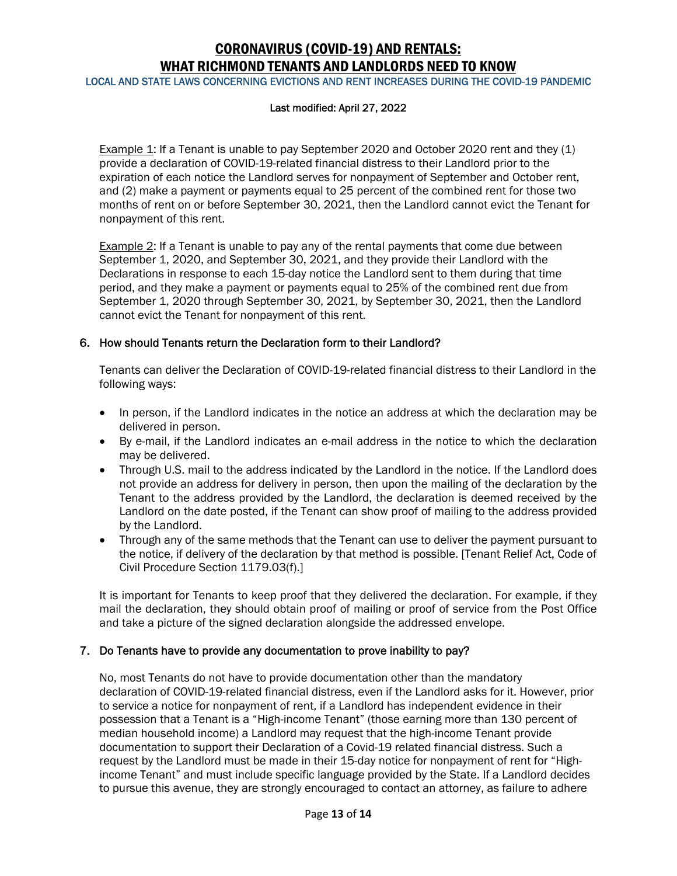LOCAL AND STATE LAWS CONCERNING EVICTIONS AND RENT INCREASES DURING THE COVID-19 PANDEMIC

#### Last modified: April 27, 2022

Example 1: If a Tenant is unable to pay September 2020 and October 2020 rent and they (1) provide a declaration of COVID-19-related financial distress to their Landlord prior to the expiration of each notice the Landlord serves for nonpayment of September and October rent, and (2) make a payment or payments equal to 25 percent of the combined rent for those two months of rent on or before September 30, 2021, then the Landlord cannot evict the Tenant for nonpayment of this rent.

**Example 2:** If a Tenant is unable to pay any of the rental payments that come due between September 1, 2020, and September 30, 2021, and they provide their Landlord with the Declarations in response to each 15-day notice the Landlord sent to them during that time period, and they make a payment or payments equal to 25% of the combined rent due from September 1, 2020 through September 30, 2021, by September 30, 2021, then the Landlord cannot evict the Tenant for nonpayment of this rent.

### 6. How should Tenants return the Declaration form to their Landlord?

Tenants can deliver the Declaration of COVID-19-related financial distress to their Landlord in the following ways:

- In person, if the Landlord indicates in the notice an address at which the declaration may be delivered in person.
- By e-mail, if the Landlord indicates an e-mail address in the notice to which the declaration may be delivered.
- Through U.S. mail to the address indicated by the Landlord in the notice. If the Landlord does not provide an address for delivery in person, then upon the mailing of the declaration by the Tenant to the address provided by the Landlord, the declaration is deemed received by the Landlord on the date posted, if the Tenant can show proof of mailing to the address provided by the Landlord.
- Through any of the same methods that the Tenant can use to deliver the payment pursuant to the notice, if delivery of the declaration by that method is possible. [Tenant Relief Act, Code of Civil Procedure Section 1179.03(f).]

It is important for Tenants to keep proof that they delivered the declaration. For example, if they mail the declaration, they should obtain proof of mailing or proof of service from the Post Office and take a picture of the signed declaration alongside the addressed envelope.

### 7. Do Tenants have to provide any documentation to prove inability to pay?

No, most Tenants do not have to provide documentation other than the mandatory declaration of COVID-19-related financial distress, even if the Landlord asks for it. However, prior to service a notice for nonpayment of rent, if a Landlord has independent evidence in their possession that a Tenant is a "High-income Tenant" (those earning more than 130 percent of median household income) a Landlord may request that the high-income Tenant provide documentation to support their Declaration of a Covid-19 related financial distress. Such a request by the Landlord must be made in their 15-day notice for nonpayment of rent for "Highincome Tenant" and must include specific language provided by the State. If a Landlord decides to pursue this avenue, they are strongly encouraged to contact an attorney, as failure to adhere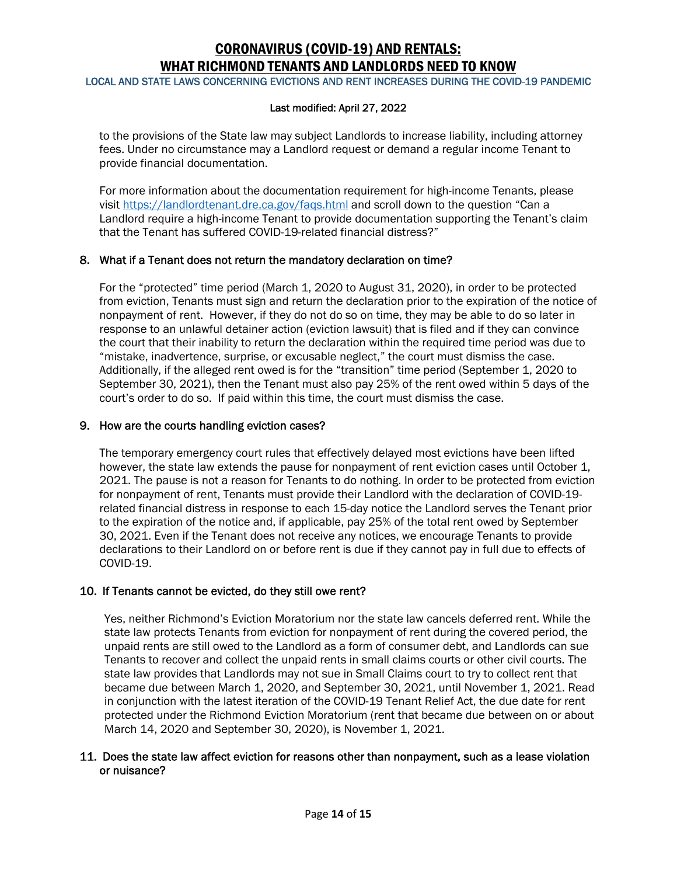LOCAL AND STATE LAWS CONCERNING EVICTIONS AND RENT INCREASES DURING THE COVID-19 PANDEMIC

#### Last modified: April 27, 2022

to the provisions of the State law may subject Landlords to increase liability, including attorney fees. Under no circumstance may a Landlord request or demand a regular income Tenant to provide financial documentation.

For more information about the documentation requirement for high-income Tenants, please visit https://landlordtenant.dre.ca.gov/faqs.html and scroll down to the question "Can a Landlord require a high-income Tenant to provide documentation supporting the Tenant's claim that the Tenant has suffered COVID-19-related financial distress?"

### 8. What if a Tenant does not return the mandatory declaration on time?

For the "protected" time period (March 1, 2020 to August 31, 2020), in order to be protected from eviction, Tenants must sign and return the declaration prior to the expiration of the notice of nonpayment of rent. However, if they do not do so on time, they may be able to do so later in response to an unlawful detainer action (eviction lawsuit) that is filed and if they can convince the court that their inability to return the declaration within the required time period was due to "mistake, inadvertence, surprise, or excusable neglect," the court must dismiss the case. Additionally, if the alleged rent owed is for the "transition" time period (September 1, 2020 to September 30, 2021), then the Tenant must also pay 25% of the rent owed within 5 days of the court's order to do so. If paid within this time, the court must dismiss the case.

#### 9. How are the courts handling eviction cases?

The temporary emergency court rules that effectively delayed most evictions have been lifted however, the state law extends the pause for nonpayment of rent eviction cases until October 1, 2021. The pause is not a reason for Tenants to do nothing. In order to be protected from eviction for nonpayment of rent, Tenants must provide their Landlord with the declaration of COVID-19 related financial distress in response to each 15-day notice the Landlord serves the Tenant prior to the expiration of the notice and, if applicable, pay 25% of the total rent owed by September 30, 2021. Even if the Tenant does not receive any notices, we encourage Tenants to provide declarations to their Landlord on or before rent is due if they cannot pay in full due to effects of COVID-19.

### 10. If Tenants cannot be evicted, do they still owe rent?

Yes, neither Richmond's Eviction Moratorium nor the state law cancels deferred rent. While the state law protects Tenants from eviction for nonpayment of rent during the covered period, the unpaid rents are still owed to the Landlord as a form of consumer debt, and Landlords can sue Tenants to recover and collect the unpaid rents in small claims courts or other civil courts. The state law provides that Landlords may not sue in Small Claims court to try to collect rent that became due between March 1, 2020, and September 30, 2021, until November 1, 2021. Read in conjunction with the latest iteration of the COVID-19 Tenant Relief Act, the due date for rent protected under the Richmond Eviction Moratorium (rent that became due between on or about March 14, 2020 and September 30, 2020), is November 1, 2021.

#### 11. Does the state law affect eviction for reasons other than nonpayment, such as a lease violation or nuisance?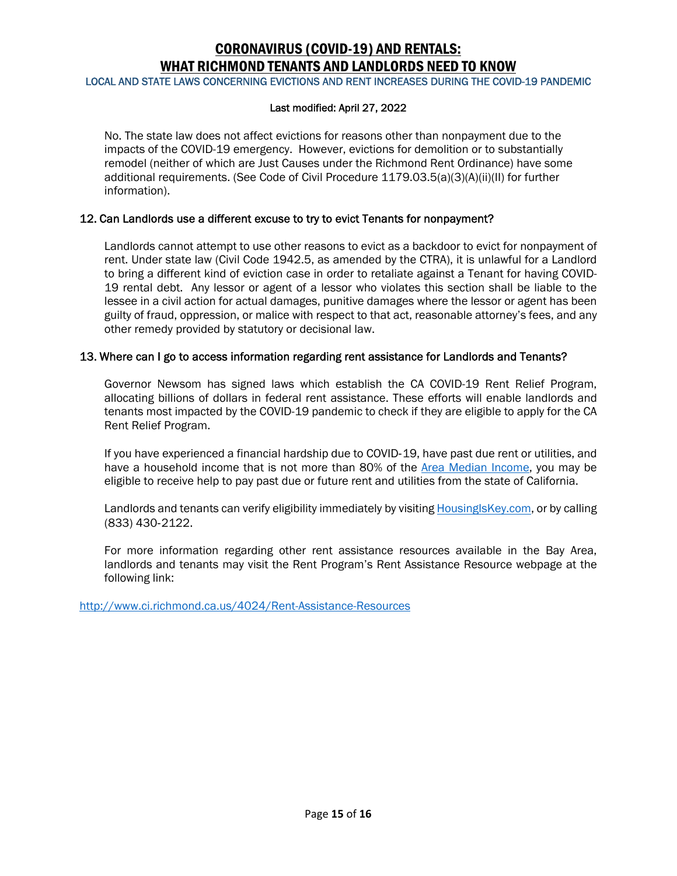LOCAL AND STATE LAWS CONCERNING EVICTIONS AND RENT INCREASES DURING THE COVID-19 PANDEMIC

#### Last modified: April 27, 2022

No. The state law does not affect evictions for reasons other than nonpayment due to the impacts of the COVID-19 emergency. However, evictions for demolition or to substantially remodel (neither of which are Just Causes under the Richmond Rent Ordinance) have some additional requirements. (See Code of Civil Procedure 1179.03.5(a)(3)(A)(ii)(II) for further information).

### 12. Can Landlords use a different excuse to try to evict Tenants for nonpayment?

Landlords cannot attempt to use other reasons to evict as a backdoor to evict for nonpayment of rent. Under state law (Civil Code 1942.5, as amended by the CTRA), it is unlawful for a Landlord to bring a different kind of eviction case in order to retaliate against a Tenant for having COVID-19 rental debt. Any lessor or agent of a lessor who violates this section shall be liable to the lessee in a civil action for actual damages, punitive damages where the lessor or agent has been guilty of fraud, oppression, or malice with respect to that act, reasonable attorney's fees, and any other remedy provided by statutory or decisional law.

### 13. Where can I go to access information regarding rent assistance for Landlords and Tenants?

Governor Newsom has signed laws which establish the CA COVID-19 Rent Relief Program, allocating billions of dollars in federal rent assistance. These efforts will enable landlords and tenants most impacted by the COVID-19 pandemic to check if they are eligible to apply for the CA Rent Relief Program.

If you have experienced a financial hardship due to COVID-19, have past due rent or utilities, and have a household income that is not more than 80% of the Area Median Income, you may be eligible to receive help to pay past due or future rent and utilities from the state of California.

Landlords and tenants can verify eligibility immediately by visiting HousingIsKey.com, or by calling (833) 430-2122.

For more information regarding other rent assistance resources available in the Bay Area, landlords and tenants may visit the Rent Program's Rent Assistance Resource webpage at the following link:

http://www.ci.richmond.ca.us/4024/Rent-Assistance-Resources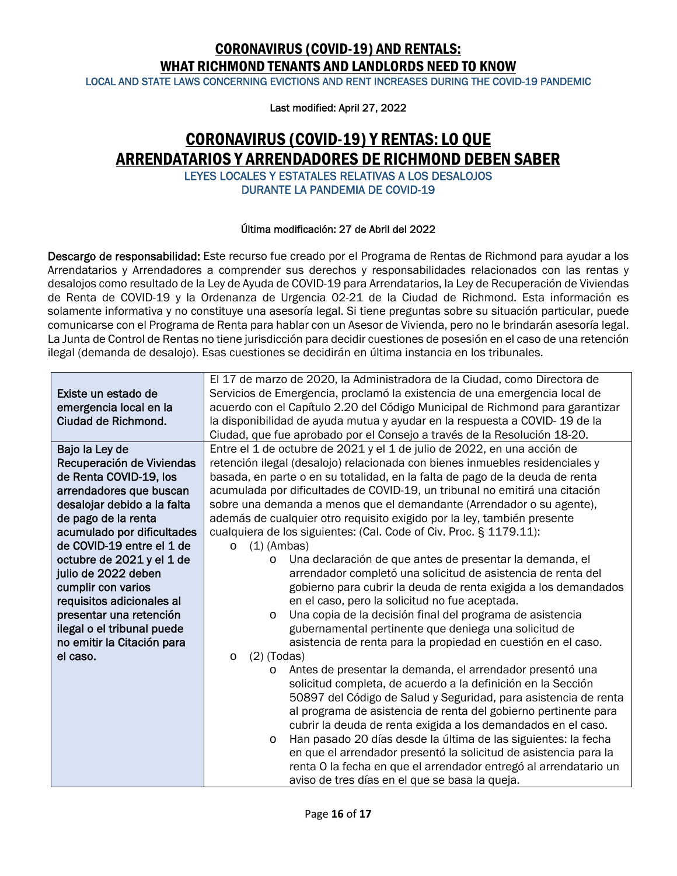LOCAL AND STATE LAWS CONCERNING EVICTIONS AND RENT INCREASES DURING THE COVID-19 PANDEMIC

Last modified: April 27, 2022

## CORONAVIRUS (COVID-19) Y RENTAS: LO QUE ARRENDATARIOS Y ARRENDADORES DE RICHMOND DEBEN SABER LEYES LOCALES Y ESTATALES RELATIVAS A LOS DESALOJOS

DURANTE LA PANDEMIA DE COVID-19

### Última modificación: 27 de Abril del 2022

Descargo de responsabilidad: Este recurso fue creado por el Programa de Rentas de Richmond para ayudar a los Arrendatarios y Arrendadores a comprender sus derechos y responsabilidades relacionados con las rentas y desalojos como resultado de la Ley de Ayuda de COVID-19 para Arrendatarios, la Ley de Recuperación de Viviendas de Renta de COVID-19 y la Ordenanza de Urgencia 02-21 de la Ciudad de Richmond. Esta información es solamente informativa y no constituye una asesoría legal. Si tiene preguntas sobre su situación particular, puede comunicarse con el Programa de Renta para hablar con un Asesor de Vivienda, pero no le brindarán asesoría legal. La Junta de Control de Rentas no tiene jurisdicción para decidir cuestiones de posesión en el caso de una retención ilegal (demanda de desalojo). Esas cuestiones se decidirán en última instancia en los tribunales.

|                             | El 17 de marzo de 2020, la Administradora de la Ciudad, como Directora de     |
|-----------------------------|-------------------------------------------------------------------------------|
| Existe un estado de         | Servicios de Emergencia, proclamó la existencia de una emergencia local de    |
| emergencia local en la      | acuerdo con el Capítulo 2.20 del Código Municipal de Richmond para garantizar |
| Ciudad de Richmond.         | la disponibilidad de ayuda mutua y ayudar en la respuesta a COVID-19 de la    |
|                             | Ciudad, que fue aprobado por el Consejo a través de la Resolución 18-20.      |
| Bajo la Ley de              | Entre el 1 de octubre de 2021 y el 1 de julio de 2022, en una acción de       |
| Recuperación de Viviendas   | retención ilegal (desalojo) relacionada con bienes inmuebles residenciales y  |
| de Renta COVID-19, los      | basada, en parte o en su totalidad, en la falta de pago de la deuda de renta  |
| arrendadores que buscan     | acumulada por dificultades de COVID-19, un tribunal no emitirá una citación   |
| desalojar debido a la falta | sobre una demanda a menos que el demandante (Arrendador o su agente),         |
| de pago de la renta         | además de cualquier otro requisito exigido por la ley, también presente       |
| acumulado por dificultades  | cualquiera de los siguientes: (Cal. Code of Civ. Proc. § 1179.11):            |
| de COVID-19 entre el 1 de   | $(1)$ (Ambas)<br>$\circ$                                                      |
| octubre de 2021 y el 1 de   | Una declaración de que antes de presentar la demanda, el<br>$\circ$           |
| julio de 2022 deben         | arrendador completó una solicitud de asistencia de renta del                  |
| cumplir con varios          | gobierno para cubrir la deuda de renta exigida a los demandados               |
| requisitos adicionales al   | en el caso, pero la solicitud no fue aceptada.                                |
| presentar una retención     | Una copia de la decisión final del programa de asistencia<br>$\circ$          |
| ilegal o el tribunal puede  | gubernamental pertinente que deniega una solicitud de                         |
| no emitir la Citación para  | asistencia de renta para la propiedad en cuestión en el caso.                 |
| el caso.                    | $(2)$ (Todas)<br>$\circ$                                                      |
|                             | Antes de presentar la demanda, el arrendador presentó una<br>$\circ$          |
|                             | solicitud completa, de acuerdo a la definición en la Sección                  |
|                             | 50897 del Código de Salud y Seguridad, para asistencia de renta               |
|                             | al programa de asistencia de renta del gobierno pertinente para               |
|                             | cubrir la deuda de renta exigida a los demandados en el caso.                 |
|                             | Han pasado 20 días desde la última de las siguientes: la fecha<br>$\circ$     |
|                             | en que el arrendador presentó la solicitud de asistencia para la              |
|                             | renta O la fecha en que el arrendador entregó al arrendatario un              |
|                             | aviso de tres días en el que se basa la queja.                                |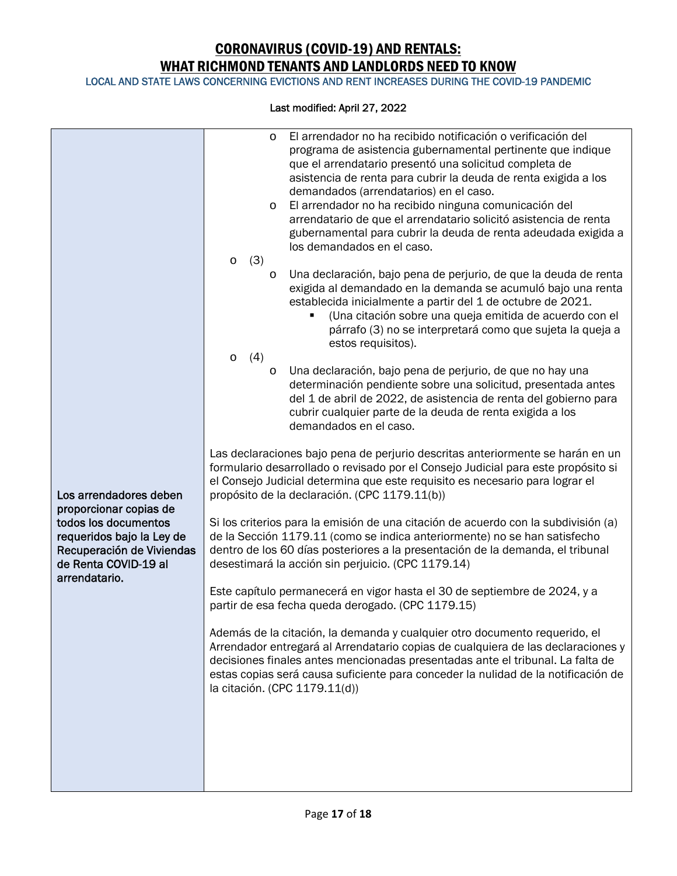LOCAL AND STATE LAWS CONCERNING EVICTIONS AND RENT INCREASES DURING THE COVID-19 PANDEMIC

|                                                                                                                                                   | El arrendador no ha recibido notificación o verificación del<br>$\circ$<br>programa de asistencia gubernamental pertinente que indique<br>que el arrendatario presentó una solicitud completa de<br>asistencia de renta para cubrir la deuda de renta exigida a los<br>demandados (arrendatarios) en el caso.<br>El arrendador no ha recibido ninguna comunicación del<br>$\circ$<br>arrendatario de que el arrendatario solicitó asistencia de renta<br>gubernamental para cubrir la deuda de renta adeudada exigida a<br>los demandados en el caso. |
|---------------------------------------------------------------------------------------------------------------------------------------------------|-------------------------------------------------------------------------------------------------------------------------------------------------------------------------------------------------------------------------------------------------------------------------------------------------------------------------------------------------------------------------------------------------------------------------------------------------------------------------------------------------------------------------------------------------------|
|                                                                                                                                                   | (3)<br>$\circ$<br>Una declaración, bajo pena de perjurio, de que la deuda de renta<br>$\circ$<br>exigida al demandado en la demanda se acumuló bajo una renta<br>establecida inicialmente a partir del 1 de octubre de 2021.<br>(Una citación sobre una queja emitida de acuerdo con el<br>párrafo (3) no se interpretará como que sujeta la queja a<br>estos requisitos).<br>(4)<br>$\circ$                                                                                                                                                          |
|                                                                                                                                                   | Una declaración, bajo pena de perjurio, de que no hay una<br>$\circ$<br>determinación pendiente sobre una solicitud, presentada antes<br>del 1 de abril de 2022, de asistencia de renta del gobierno para<br>cubrir cualquier parte de la deuda de renta exigida a los<br>demandados en el caso.                                                                                                                                                                                                                                                      |
| Los arrendadores deben                                                                                                                            | Las declaraciones bajo pena de perjurio descritas anteriormente se harán en un<br>formulario desarrollado o revisado por el Consejo Judicial para este propósito si<br>el Consejo Judicial determina que este requisito es necesario para lograr el<br>propósito de la declaración. (CPC 1179.11(b))                                                                                                                                                                                                                                                  |
| proporcionar copias de<br>todos los documentos<br>requeridos bajo la Ley de<br>Recuperación de Viviendas<br>de Renta COVID-19 al<br>arrendatario. | Si los criterios para la emisión de una citación de acuerdo con la subdivisión (a)<br>de la Sección 1179.11 (como se indica anteriormente) no se han satisfecho<br>dentro de los 60 días posteriores a la presentación de la demanda, el tribunal<br>desestimará la acción sin perjuicio. (CPC 1179.14)                                                                                                                                                                                                                                               |
|                                                                                                                                                   | Este capítulo permanecerá en vigor hasta el 30 de septiembre de 2024, y a<br>partir de esa fecha queda derogado. (CPC 1179.15)                                                                                                                                                                                                                                                                                                                                                                                                                        |
|                                                                                                                                                   | Además de la citación, la demanda y cualquier otro documento requerido, el<br>Arrendador entregará al Arrendatario copias de cualquiera de las declaraciones y<br>decisiones finales antes mencionadas presentadas ante el tribunal. La falta de<br>estas copias será causa suficiente para conceder la nulidad de la notificación de<br>la citación. (CPC 1179.11(d))                                                                                                                                                                                |
|                                                                                                                                                   |                                                                                                                                                                                                                                                                                                                                                                                                                                                                                                                                                       |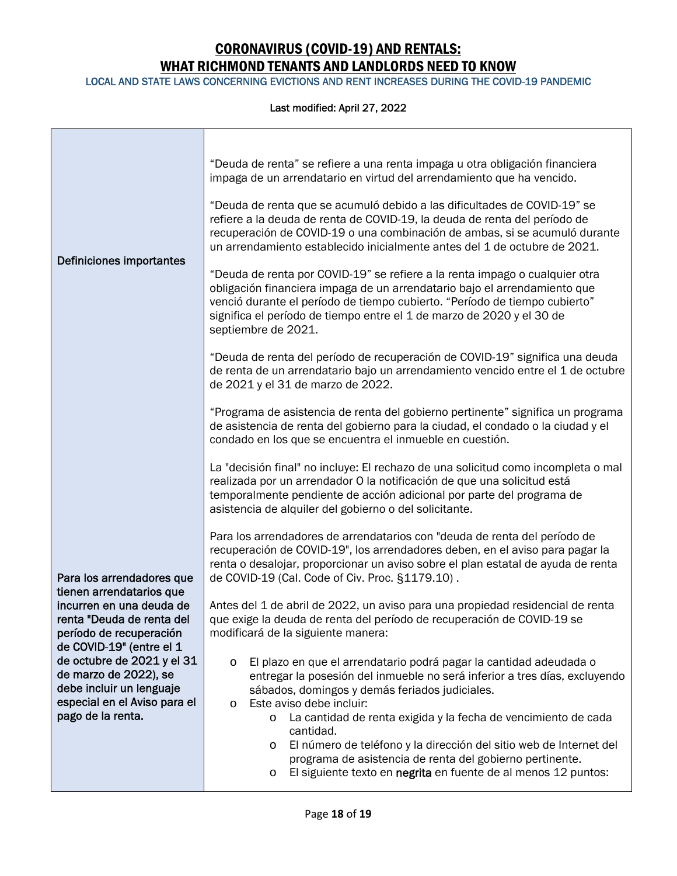LOCAL AND STATE LAWS CONCERNING EVICTIONS AND RENT INCREASES DURING THE COVID-19 PANDEMIC

| "Deuda de renta" se refiere a una renta impaga u otra obligación financiera<br>impaga de un arrendatario en virtud del arrendamiento que ha vencido.                                                                                                                                                                                   |
|----------------------------------------------------------------------------------------------------------------------------------------------------------------------------------------------------------------------------------------------------------------------------------------------------------------------------------------|
| "Deuda de renta que se acumuló debido a las dificultades de COVID-19" se<br>refiere a la deuda de renta de COVID-19, la deuda de renta del período de<br>recuperación de COVID-19 o una combinación de ambas, si se acumuló durante<br>un arrendamiento establecido inicialmente antes del 1 de octubre de 2021.                       |
| "Deuda de renta por COVID-19" se refiere a la renta impago o cualquier otra<br>obligación financiera impaga de un arrendatario bajo el arrendamiento que<br>venció durante el período de tiempo cubierto. "Período de tiempo cubierto"<br>significa el período de tiempo entre el 1 de marzo de 2020 y el 30 de<br>septiembre de 2021. |
| "Deuda de renta del período de recuperación de COVID-19" significa una deuda<br>de renta de un arrendatario bajo un arrendamiento vencido entre el 1 de octubre<br>de 2021 y el 31 de marzo de 2022.                                                                                                                                   |
| "Programa de asistencia de renta del gobierno pertinente" significa un programa<br>de asistencia de renta del gobierno para la ciudad, el condado o la ciudad y el<br>condado en los que se encuentra el inmueble en cuestión.                                                                                                         |
| La "decisión final" no incluye: El rechazo de una solicitud como incompleta o mal<br>realizada por un arrendador O la notificación de que una solicitud está<br>temporalmente pendiente de acción adicional por parte del programa de<br>asistencia de alquiler del gobierno o del solicitante.                                        |
| Para los arrendadores de arrendatarios con "deuda de renta del período de<br>recuperación de COVID-19", los arrendadores deben, en el aviso para pagar la<br>renta o desalojar, proporcionar un aviso sobre el plan estatal de ayuda de renta<br>de COVID-19 (Cal. Code of Civ. Proc. §1179.10).                                       |
| Antes del 1 de abril de 2022, un aviso para una propiedad residencial de renta                                                                                                                                                                                                                                                         |
| que exige la deuda de renta del período de recuperación de COVID-19 se                                                                                                                                                                                                                                                                 |
| modificará de la siguiente manera:                                                                                                                                                                                                                                                                                                     |
| El plazo en que el arrendatario podrá pagar la cantidad adeudada o<br>$\circ$                                                                                                                                                                                                                                                          |
| entregar la posesión del inmueble no será inferior a tres días, excluyendo                                                                                                                                                                                                                                                             |
| sábados, domingos y demás feriados judiciales.<br>Este aviso debe incluir:<br>O                                                                                                                                                                                                                                                        |
| La cantidad de renta exigida y la fecha de vencimiento de cada<br>$\circ$<br>cantidad.                                                                                                                                                                                                                                                 |
| El número de teléfono y la dirección del sitio web de Internet del<br>$\circ$<br>programa de asistencia de renta del gobierno pertinente.<br>El siguiente texto en negrita en fuente de al menos 12 puntos:<br>O                                                                                                                       |
|                                                                                                                                                                                                                                                                                                                                        |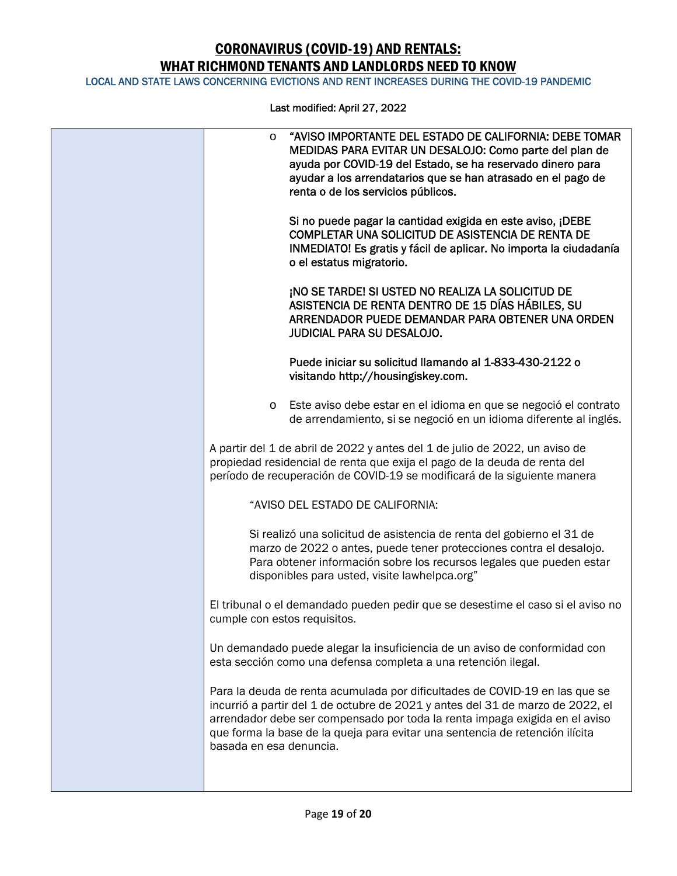LOCAL AND STATE LAWS CONCERNING EVICTIONS AND RENT INCREASES DURING THE COVID-19 PANDEMIC

| "AVISO IMPORTANTE DEL ESTADO DE CALIFORNIA: DEBE TOMAR<br>$\circ$<br>MEDIDAS PARA EVITAR UN DESALOJO: Como parte del plan de<br>ayuda por COVID-19 del Estado, se ha reservado dinero para<br>ayudar a los arrendatarios que se han atrasado en el pago de<br>renta o de los servicios públicos.                                                        |
|---------------------------------------------------------------------------------------------------------------------------------------------------------------------------------------------------------------------------------------------------------------------------------------------------------------------------------------------------------|
| Si no puede pagar la cantidad exigida en este aviso, ¡DEBE<br>COMPLETAR UNA SOLICITUD DE ASISTENCIA DE RENTA DE<br>INMEDIATO! Es gratis y fácil de aplicar. No importa la ciudadanía<br>o el estatus migratorio.                                                                                                                                        |
| ¡NO SE TARDE! SI USTED NO REALIZA LA SOLICITUD DE<br>ASISTENCIA DE RENTA DENTRO DE 15 DÍAS HÁBILES, SU<br>ARRENDADOR PUEDE DEMANDAR PARA OBTENER UNA ORDEN<br><b>JUDICIAL PARA SU DESALOJO.</b>                                                                                                                                                         |
| Puede iniciar su solicitud llamando al 1-833-430-2122 o<br>visitando http://housingiskey.com.                                                                                                                                                                                                                                                           |
| Este aviso debe estar en el idioma en que se negoció el contrato<br>$\circ$<br>de arrendamiento, si se negoció en un idioma diferente al inglés.                                                                                                                                                                                                        |
| A partir del 1 de abril de 2022 y antes del 1 de julio de 2022, un aviso de<br>propiedad residencial de renta que exija el pago de la deuda de renta del<br>período de recuperación de COVID-19 se modificará de la siguiente manera                                                                                                                    |
| "AVISO DEL ESTADO DE CALIFORNIA:                                                                                                                                                                                                                                                                                                                        |
| Si realizó una solicitud de asistencia de renta del gobierno el 31 de<br>marzo de 2022 o antes, puede tener protecciones contra el desalojo.<br>Para obtener información sobre los recursos legales que pueden estar<br>disponibles para usted, visite lawhelpca.org"                                                                                   |
| El tribunal o el demandado pueden pedir que se desestime el caso si el aviso no<br>cumple con estos requisitos.                                                                                                                                                                                                                                         |
| Un demandado puede alegar la insuficiencia de un aviso de conformidad con<br>esta sección como una defensa completa a una retención ilegal.                                                                                                                                                                                                             |
| Para la deuda de renta acumulada por dificultades de COVID-19 en las que se<br>incurrió a partir del 1 de octubre de 2021 y antes del 31 de marzo de 2022, el<br>arrendador debe ser compensado por toda la renta impaga exigida en el aviso<br>que forma la base de la queja para evitar una sentencia de retención ilícita<br>basada en esa denuncia. |
|                                                                                                                                                                                                                                                                                                                                                         |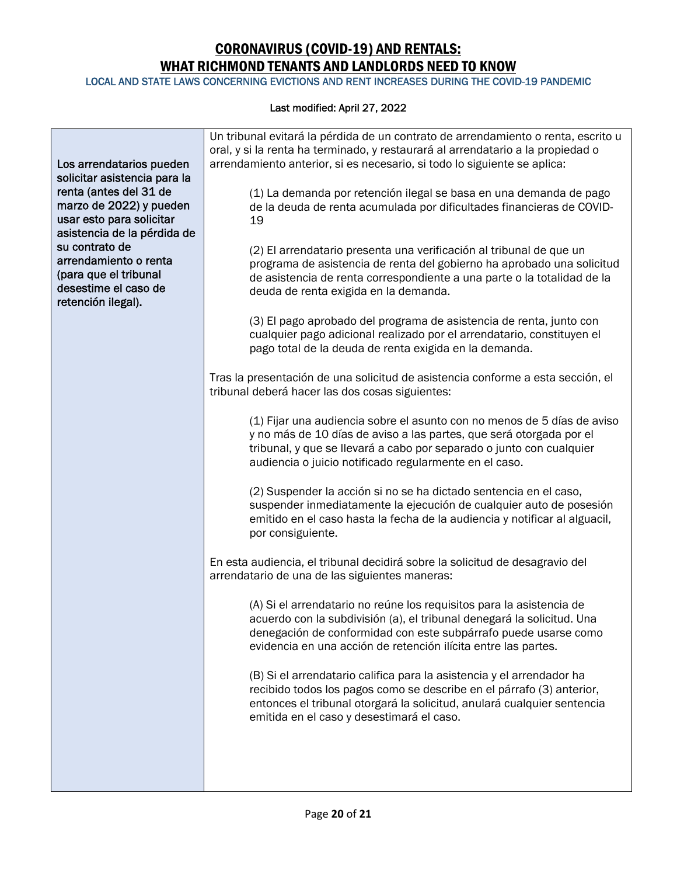LOCAL AND STATE LAWS CONCERNING EVICTIONS AND RENT INCREASES DURING THE COVID-19 PANDEMIC

| Los arrendatarios pueden<br>solicitar asistencia para la<br>renta (antes del 31 de<br>marzo de 2022) y pueden<br>usar esto para solicitar<br>asistencia de la pérdida de<br>su contrato de<br>arrendamiento o renta<br>(para que el tribunal<br>desestime el caso de<br>retención ilegal). | Un tribunal evitará la pérdida de un contrato de arrendamiento o renta, escrito u<br>oral, y si la renta ha terminado, y restaurará al arrendatario a la propiedad o<br>arrendamiento anterior, si es necesario, si todo lo siguiente se aplica:<br>(1) La demanda por retención ilegal se basa en una demanda de pago<br>de la deuda de renta acumulada por dificultades financieras de COVID-<br>19<br>(2) El arrendatario presenta una verificación al tribunal de que un<br>programa de asistencia de renta del gobierno ha aprobado una solicitud<br>de asistencia de renta correspondiente a una parte o la totalidad de la<br>deuda de renta exigida en la demanda. |
|--------------------------------------------------------------------------------------------------------------------------------------------------------------------------------------------------------------------------------------------------------------------------------------------|----------------------------------------------------------------------------------------------------------------------------------------------------------------------------------------------------------------------------------------------------------------------------------------------------------------------------------------------------------------------------------------------------------------------------------------------------------------------------------------------------------------------------------------------------------------------------------------------------------------------------------------------------------------------------|
|                                                                                                                                                                                                                                                                                            | (3) El pago aprobado del programa de asistencia de renta, junto con<br>cualquier pago adicional realizado por el arrendatario, constituyen el<br>pago total de la deuda de renta exigida en la demanda.                                                                                                                                                                                                                                                                                                                                                                                                                                                                    |
|                                                                                                                                                                                                                                                                                            | Tras la presentación de una solicitud de asistencia conforme a esta sección, el<br>tribunal deberá hacer las dos cosas siguientes:                                                                                                                                                                                                                                                                                                                                                                                                                                                                                                                                         |
|                                                                                                                                                                                                                                                                                            | (1) Fijar una audiencia sobre el asunto con no menos de 5 días de aviso<br>y no más de 10 días de aviso a las partes, que será otorgada por el<br>tribunal, y que se llevará a cabo por separado o junto con cualquier<br>audiencia o juicio notificado regularmente en el caso.                                                                                                                                                                                                                                                                                                                                                                                           |
|                                                                                                                                                                                                                                                                                            | (2) Suspender la acción si no se ha dictado sentencia en el caso,<br>suspender inmediatamente la ejecución de cualquier auto de posesión<br>emitido en el caso hasta la fecha de la audiencia y notificar al alguacil,<br>por consiguiente.                                                                                                                                                                                                                                                                                                                                                                                                                                |
|                                                                                                                                                                                                                                                                                            | En esta audiencia, el tribunal decidirá sobre la solicitud de desagravio del<br>arrendatario de una de las siguientes maneras:                                                                                                                                                                                                                                                                                                                                                                                                                                                                                                                                             |
|                                                                                                                                                                                                                                                                                            | (A) Si el arrendatario no reúne los requisitos para la asistencia de<br>acuerdo con la subdivisión (a), el tribunal denegará la solicitud. Una<br>denegación de conformidad con este subpárrafo puede usarse como<br>evidencia en una acción de retención ilícita entre las partes.                                                                                                                                                                                                                                                                                                                                                                                        |
|                                                                                                                                                                                                                                                                                            | (B) Si el arrendatario califica para la asistencia y el arrendador ha<br>recibido todos los pagos como se describe en el párrafo (3) anterior,<br>entonces el tribunal otorgará la solicitud, anulará cualquier sentencia<br>emitida en el caso y desestimará el caso.                                                                                                                                                                                                                                                                                                                                                                                                     |
|                                                                                                                                                                                                                                                                                            |                                                                                                                                                                                                                                                                                                                                                                                                                                                                                                                                                                                                                                                                            |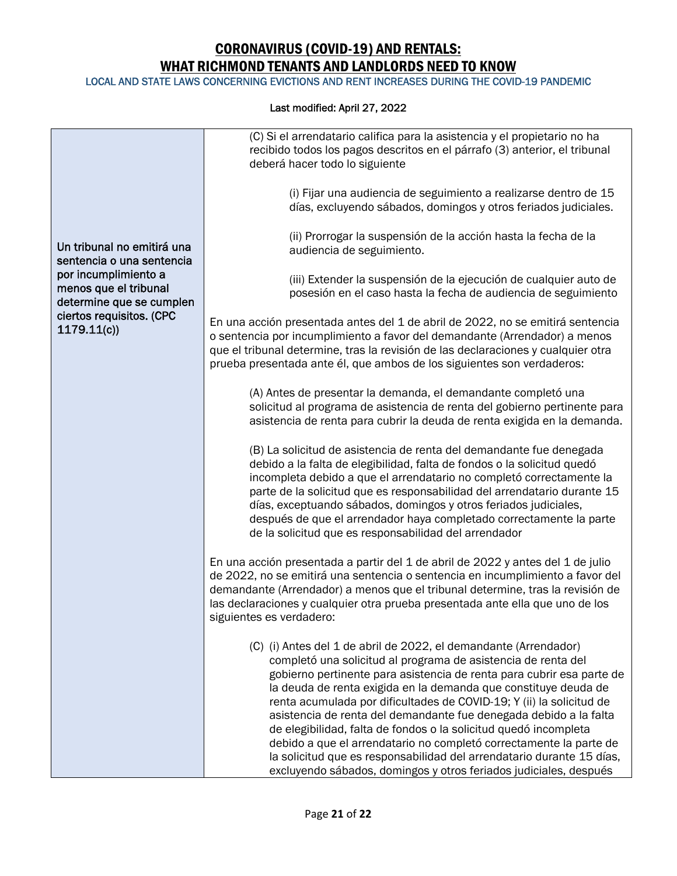LOCAL AND STATE LAWS CONCERNING EVICTIONS AND RENT INCREASES DURING THE COVID-19 PANDEMIC

| Un tribunal no emitirá una<br>sentencia o una sentencia<br>por incumplimiento a<br>menos que el tribunal<br>determine que se cumplen<br>ciertos requisitos. (CPC<br>1179.11(c) | (C) Si el arrendatario califica para la asistencia y el propietario no ha<br>recibido todos los pagos descritos en el párrafo (3) anterior, el tribunal<br>deberá hacer todo lo siguiente                                                                                                                                                                                                                                                                                                                                                                                                                                                                                                                          |
|--------------------------------------------------------------------------------------------------------------------------------------------------------------------------------|--------------------------------------------------------------------------------------------------------------------------------------------------------------------------------------------------------------------------------------------------------------------------------------------------------------------------------------------------------------------------------------------------------------------------------------------------------------------------------------------------------------------------------------------------------------------------------------------------------------------------------------------------------------------------------------------------------------------|
|                                                                                                                                                                                | (i) Fijar una audiencia de seguimiento a realizarse dentro de 15<br>días, excluyendo sábados, domingos y otros feriados judiciales.                                                                                                                                                                                                                                                                                                                                                                                                                                                                                                                                                                                |
|                                                                                                                                                                                | (ii) Prorrogar la suspensión de la acción hasta la fecha de la<br>audiencia de seguimiento.                                                                                                                                                                                                                                                                                                                                                                                                                                                                                                                                                                                                                        |
|                                                                                                                                                                                | (iii) Extender la suspensión de la ejecución de cualquier auto de<br>posesión en el caso hasta la fecha de audiencia de seguimiento                                                                                                                                                                                                                                                                                                                                                                                                                                                                                                                                                                                |
|                                                                                                                                                                                | En una acción presentada antes del 1 de abril de 2022, no se emitirá sentencia<br>o sentencia por incumplimiento a favor del demandante (Arrendador) a menos<br>que el tribunal determine, tras la revisión de las declaraciones y cualquier otra<br>prueba presentada ante él, que ambos de los siguientes son verdaderos:                                                                                                                                                                                                                                                                                                                                                                                        |
|                                                                                                                                                                                | (A) Antes de presentar la demanda, el demandante completó una<br>solicitud al programa de asistencia de renta del gobierno pertinente para<br>asistencia de renta para cubrir la deuda de renta exigida en la demanda.                                                                                                                                                                                                                                                                                                                                                                                                                                                                                             |
|                                                                                                                                                                                | (B) La solicitud de asistencia de renta del demandante fue denegada<br>debido a la falta de elegibilidad, falta de fondos o la solicitud quedó<br>incompleta debido a que el arrendatario no completó correctamente la<br>parte de la solicitud que es responsabilidad del arrendatario durante 15<br>días, exceptuando sábados, domingos y otros feriados judiciales,<br>después de que el arrendador haya completado correctamente la parte<br>de la solicitud que es responsabilidad del arrendador                                                                                                                                                                                                             |
|                                                                                                                                                                                | En una acción presentada a partir del 1 de abril de 2022 y antes del 1 de julio<br>de 2022, no se emitirá una sentencia o sentencia en incumplimiento a favor del<br>demandante (Arrendador) a menos que el tribunal determine, tras la revisión de<br>las declaraciones y cualquier otra prueba presentada ante ella que uno de los<br>siguientes es verdadero:                                                                                                                                                                                                                                                                                                                                                   |
|                                                                                                                                                                                | (C) (i) Antes del 1 de abril de 2022, el demandante (Arrendador)<br>completó una solicitud al programa de asistencia de renta del<br>gobierno pertinente para asistencia de renta para cubrir esa parte de<br>la deuda de renta exigida en la demanda que constituye deuda de<br>renta acumulada por dificultades de COVID-19; Y (ii) la solicitud de<br>asistencia de renta del demandante fue denegada debido a la falta<br>de elegibilidad, falta de fondos o la solicitud quedó incompleta<br>debido a que el arrendatario no completó correctamente la parte de<br>la solicitud que es responsabilidad del arrendatario durante 15 días,<br>excluyendo sábados, domingos y otros feriados judiciales, después |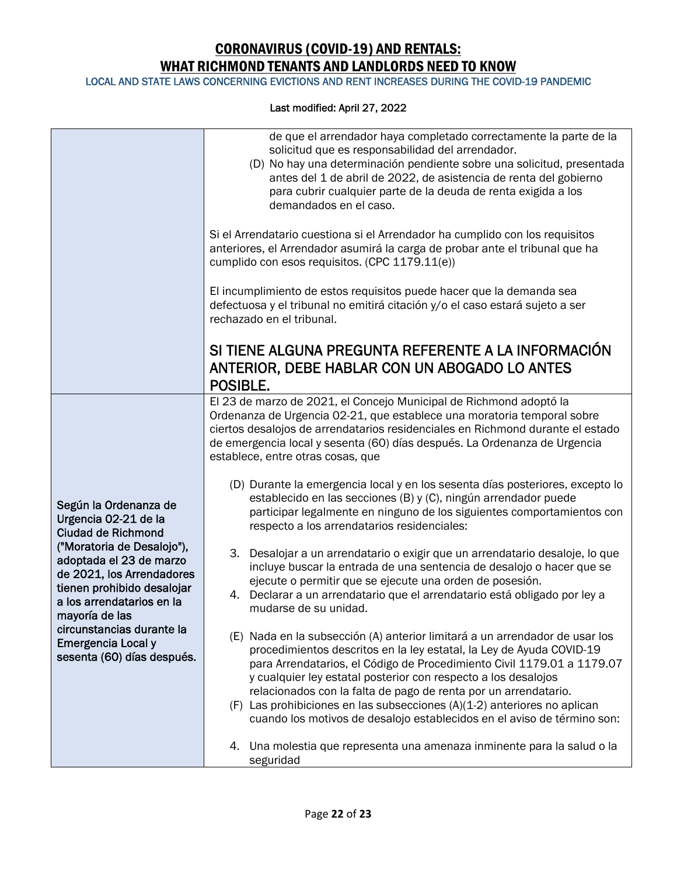LOCAL AND STATE LAWS CONCERNING EVICTIONS AND RENT INCREASES DURING THE COVID-19 PANDEMIC

|                                                                                                                                                                                                                                                                                                                                | de que el arrendador haya completado correctamente la parte de la<br>solicitud que es responsabilidad del arrendador.<br>(D) No hay una determinación pendiente sobre una solicitud, presentada<br>antes del 1 de abril de 2022, de asistencia de renta del gobierno<br>para cubrir cualquier parte de la deuda de renta exigida a los<br>demandados en el caso.                                                                                                                                                          |
|--------------------------------------------------------------------------------------------------------------------------------------------------------------------------------------------------------------------------------------------------------------------------------------------------------------------------------|---------------------------------------------------------------------------------------------------------------------------------------------------------------------------------------------------------------------------------------------------------------------------------------------------------------------------------------------------------------------------------------------------------------------------------------------------------------------------------------------------------------------------|
|                                                                                                                                                                                                                                                                                                                                | Si el Arrendatario cuestiona si el Arrendador ha cumplido con los requisitos<br>anteriores, el Arrendador asumirá la carga de probar ante el tribunal que ha<br>cumplido con esos requisitos. (CPC 1179.11(e))                                                                                                                                                                                                                                                                                                            |
|                                                                                                                                                                                                                                                                                                                                | El incumplimiento de estos requisitos puede hacer que la demanda sea<br>defectuosa y el tribunal no emitirá citación y/o el caso estará sujeto a ser<br>rechazado en el tribunal.                                                                                                                                                                                                                                                                                                                                         |
|                                                                                                                                                                                                                                                                                                                                | SI TIENE ALGUNA PREGUNTA REFERENTE A LA INFORMACIÓN<br>ANTERIOR, DEBE HABLAR CON UN ABOGADO LO ANTES<br>POSIBLE.                                                                                                                                                                                                                                                                                                                                                                                                          |
| Según la Ordenanza de<br>Urgencia 02-21 de la<br><b>Ciudad de Richmond</b><br>("Moratoria de Desalojo"),<br>adoptada el 23 de marzo<br>de 2021, los Arrendadores<br>tienen prohibido desalojar<br>a los arrendatarios en la<br>mayoría de las<br>circunstancias durante la<br>Emergencia Local y<br>sesenta (60) días después. | El 23 de marzo de 2021, el Concejo Municipal de Richmond adoptó la<br>Ordenanza de Urgencia 02-21, que establece una moratoria temporal sobre<br>ciertos desalojos de arrendatarios residenciales en Richmond durante el estado<br>de emergencia local y sesenta (60) días después. La Ordenanza de Urgencia<br>establece, entre otras cosas, que                                                                                                                                                                         |
|                                                                                                                                                                                                                                                                                                                                | (D) Durante la emergencia local y en los sesenta días posteriores, excepto lo<br>establecido en las secciones (B) y (C), ningún arrendador puede<br>participar legalmente en ninguno de los siguientes comportamientos con<br>respecto a los arrendatarios residenciales:                                                                                                                                                                                                                                                 |
|                                                                                                                                                                                                                                                                                                                                | 3. Desalojar a un arrendatario o exigir que un arrendatario desaloje, lo que<br>incluye buscar la entrada de una sentencia de desalojo o hacer que se<br>ejecute o permitir que se ejecute una orden de posesión.<br>4. Declarar a un arrendatario que el arrendatario está obligado por ley a<br>mudarse de su unidad.                                                                                                                                                                                                   |
|                                                                                                                                                                                                                                                                                                                                | (E) Nada en la subsección (A) anterior limitará a un arrendador de usar los<br>procedimientos descritos en la ley estatal, la Ley de Ayuda COVID-19<br>para Arrendatarios, el Código de Procedimiento Civil 1179.01 a 1179.07<br>y cualquier ley estatal posterior con respecto a los desalojos<br>relacionados con la falta de pago de renta por un arrendatario.<br>(F) Las prohibiciones en las subsecciones (A)(1-2) anteriores no aplican<br>cuando los motivos de desalojo establecidos en el aviso de término son: |
|                                                                                                                                                                                                                                                                                                                                | 4. Una molestia que representa una amenaza inminente para la salud o la<br>seguridad                                                                                                                                                                                                                                                                                                                                                                                                                                      |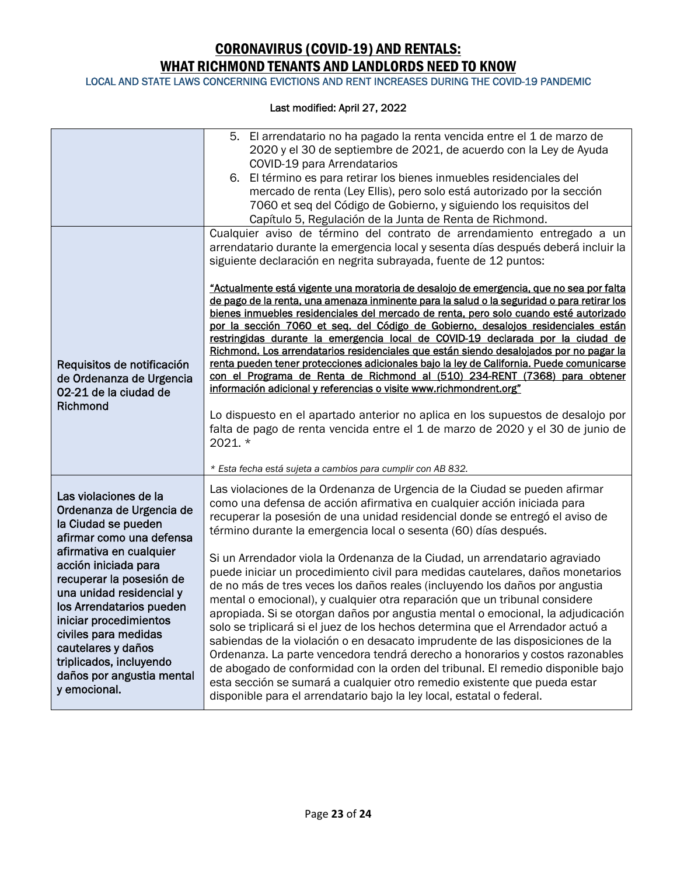LOCAL AND STATE LAWS CONCERNING EVICTIONS AND RENT INCREASES DURING THE COVID-19 PANDEMIC

|                                                                                                                                                                                                      | 5. El arrendatario no ha pagado la renta vencida entre el 1 de marzo de<br>2020 y el 30 de septiembre de 2021, de acuerdo con la Ley de Ayuda<br>COVID-19 para Arrendatarios<br>6. El término es para retirar los bienes inmuebles residenciales del<br>mercado de renta (Ley Ellis), pero solo está autorizado por la sección<br>7060 et seq del Código de Gobierno, y siguiendo los requisitos del<br>Capítulo 5, Regulación de la Junta de Renta de Richmond.                                                                                                                                                                                                                                                                                                                                                                                                                                                                                                                                                                                |
|------------------------------------------------------------------------------------------------------------------------------------------------------------------------------------------------------|-------------------------------------------------------------------------------------------------------------------------------------------------------------------------------------------------------------------------------------------------------------------------------------------------------------------------------------------------------------------------------------------------------------------------------------------------------------------------------------------------------------------------------------------------------------------------------------------------------------------------------------------------------------------------------------------------------------------------------------------------------------------------------------------------------------------------------------------------------------------------------------------------------------------------------------------------------------------------------------------------------------------------------------------------|
|                                                                                                                                                                                                      | Cualquier aviso de término del contrato de arrendamiento entregado a un<br>arrendatario durante la emergencia local y sesenta días después deberá incluir la<br>siguiente declaración en negrita subrayada, fuente de 12 puntos:                                                                                                                                                                                                                                                                                                                                                                                                                                                                                                                                                                                                                                                                                                                                                                                                                |
| Requisitos de notificación<br>de Ordenanza de Urgencia<br>02-21 de la ciudad de<br>Richmond                                                                                                          | "Actualmente está vigente una moratoria de desalojo de emergencia, que no sea por falta<br>de pago de la renta, una amenaza inminente para la salud o la seguridad o para retirar los<br>bienes inmuebles residenciales del mercado de renta, pero solo cuando esté autorizado<br>por la sección 7060 et seg. del Código de Gobierno, desalojos residenciales están<br>restringidas durante la emergencia local de COVID-19 declarada por la ciudad de<br>Richmond. Los arrendatarios residenciales que están siendo desalojados por no pagar la<br>renta pueden tener protecciones adicionales bajo la ley de California. Puede comunicarse<br>con el Programa de Renta de Richmond al (510) 234-RENT (7368) para obtener<br>información adicional y referencias o visite www.richmondrent.org"<br>Lo dispuesto en el apartado anterior no aplica en los supuestos de desalojo por<br>falta de pago de renta vencida entre el 1 de marzo de 2020 y el 30 de junio de<br>2021. *<br>* Esta fecha está sujeta a cambios para cumplir con AB 832. |
| Las violaciones de la<br>Ordenanza de Urgencia de<br>la Ciudad se pueden<br>afirmar como una defensa<br>afirmativa en cualquier<br>acción iniciada para<br>recuperar la posesión de                  | Las violaciones de la Ordenanza de Urgencia de la Ciudad se pueden afirmar<br>como una defensa de acción afirmativa en cualquier acción iniciada para<br>recuperar la posesión de una unidad residencial donde se entregó el aviso de<br>término durante la emergencia local o sesenta (60) días después.<br>Si un Arrendador viola la Ordenanza de la Ciudad, un arrendatario agraviado<br>puede iniciar un procedimiento civil para medidas cautelares, daños monetarios<br>de no más de tres veces los daños reales (incluyendo los daños por angustia                                                                                                                                                                                                                                                                                                                                                                                                                                                                                       |
| una unidad residencial y<br>los Arrendatarios pueden<br>iniciar procedimientos<br>civiles para medidas<br>cautelares y daños<br>triplicados, incluyendo<br>daños por angustia mental<br>y emocional. | mental o emocional), y cualquier otra reparación que un tribunal considere<br>apropiada. Si se otorgan daños por angustia mental o emocional, la adjudicación<br>solo se triplicará si el juez de los hechos determina que el Arrendador actuó a<br>sabiendas de la violación o en desacato imprudente de las disposiciones de la<br>Ordenanza. La parte vencedora tendrá derecho a honorarios y costos razonables<br>de abogado de conformidad con la orden del tribunal. El remedio disponible bajo<br>esta sección se sumará a cualquier otro remedio existente que pueda estar<br>disponible para el arrendatario bajo la ley local, estatal o federal.                                                                                                                                                                                                                                                                                                                                                                                     |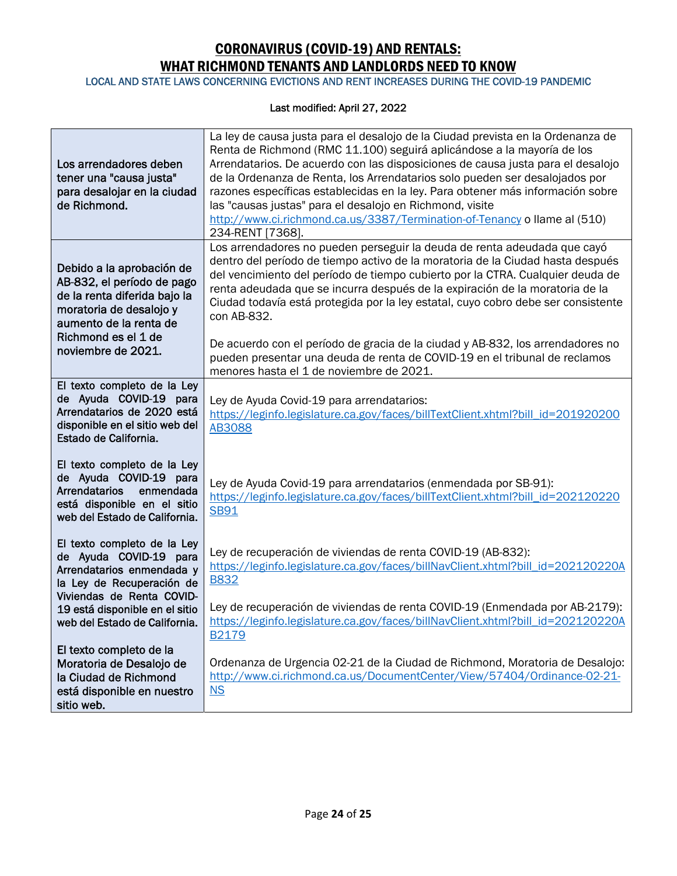LOCAL AND STATE LAWS CONCERNING EVICTIONS AND RENT INCREASES DURING THE COVID-19 PANDEMIC

| Los arrendadores deben<br>tener una "causa justa"<br>para desalojar en la ciudad<br>de Richmond.                                                                                          | La ley de causa justa para el desalojo de la Ciudad prevista en la Ordenanza de<br>Renta de Richmond (RMC 11.100) seguirá aplicándose a la mayoría de los<br>Arrendatarios. De acuerdo con las disposiciones de causa justa para el desalojo<br>de la Ordenanza de Renta, los Arrendatarios solo pueden ser desalojados por<br>razones específicas establecidas en la ley. Para obtener más información sobre<br>las "causas justas" para el desalojo en Richmond, visite<br>http://www.ci.richmond.ca.us/3387/Termination-of-Tenancy o llame al (510)<br>234-RENT [7368]. |
|-------------------------------------------------------------------------------------------------------------------------------------------------------------------------------------------|----------------------------------------------------------------------------------------------------------------------------------------------------------------------------------------------------------------------------------------------------------------------------------------------------------------------------------------------------------------------------------------------------------------------------------------------------------------------------------------------------------------------------------------------------------------------------|
| Debido a la aprobación de<br>AB-832, el período de pago<br>de la renta diferida bajo la<br>moratoria de desalojo y<br>aumento de la renta de<br>Richmond es el 1 de<br>noviembre de 2021. | Los arrendadores no pueden perseguir la deuda de renta adeudada que cayó<br>dentro del período de tiempo activo de la moratoria de la Ciudad hasta después<br>del vencimiento del período de tiempo cubierto por la CTRA. Cualquier deuda de<br>renta adeudada que se incurra después de la expiración de la moratoria de la<br>Ciudad todavía está protegida por la ley estatal, cuyo cobro debe ser consistente<br>con AB-832.                                                                                                                                           |
|                                                                                                                                                                                           | De acuerdo con el período de gracia de la ciudad y AB-832, los arrendadores no<br>pueden presentar una deuda de renta de COVID-19 en el tribunal de reclamos<br>menores hasta el 1 de noviembre de 2021.                                                                                                                                                                                                                                                                                                                                                                   |
| El texto completo de la Ley<br>de Ayuda COVID-19 para<br>Arrendatarios de 2020 está<br>disponible en el sitio web del<br>Estado de California.                                            | Ley de Ayuda Covid-19 para arrendatarios:<br>https://leginfo.legislature.ca.gov/faces/billTextClient.xhtml?bill_id=201920200<br><b>AB3088</b>                                                                                                                                                                                                                                                                                                                                                                                                                              |
| El texto completo de la Ley<br>de Ayuda COVID-19 para<br><b>Arrendatarios</b><br>enmendada<br>está disponible en el sitio<br>web del Estado de California.                                | Ley de Ayuda Covid-19 para arrendatarios (enmendada por SB-91):<br>https://leginfo.legislature.ca.gov/faces/billTextClient.xhtml?bill_id=202120220<br><b>SB91</b>                                                                                                                                                                                                                                                                                                                                                                                                          |
| El texto completo de la Ley<br>de Ayuda COVID-19 para<br>Arrendatarios enmendada y<br>la Ley de Recuperación de                                                                           | Ley de recuperación de viviendas de renta COVID-19 (AB-832):<br>https://leginfo.legislature.ca.gov/faces/billNavClient.xhtml?bill_id=202120220A<br><b>B832</b>                                                                                                                                                                                                                                                                                                                                                                                                             |
| Viviendas de Renta COVID-<br>19 está disponible en el sitio<br>web del Estado de California.                                                                                              | Ley de recuperación de viviendas de renta COVID-19 (Enmendada por AB-2179):<br>https://leginfo.legislature.ca.gov/faces/billNavClient.xhtml?bill_id=202120220A<br>B <sub>2179</sub>                                                                                                                                                                                                                                                                                                                                                                                        |
| El texto completo de la<br>Moratoria de Desalojo de<br>la Ciudad de Richmond<br>está disponible en nuestro<br>sitio web.                                                                  | Ordenanza de Urgencia 02-21 de la Ciudad de Richmond, Moratoria de Desalojo:<br>http://www.ci.richmond.ca.us/DocumentCenter/View/57404/Ordinance-02-21-<br>$NS$                                                                                                                                                                                                                                                                                                                                                                                                            |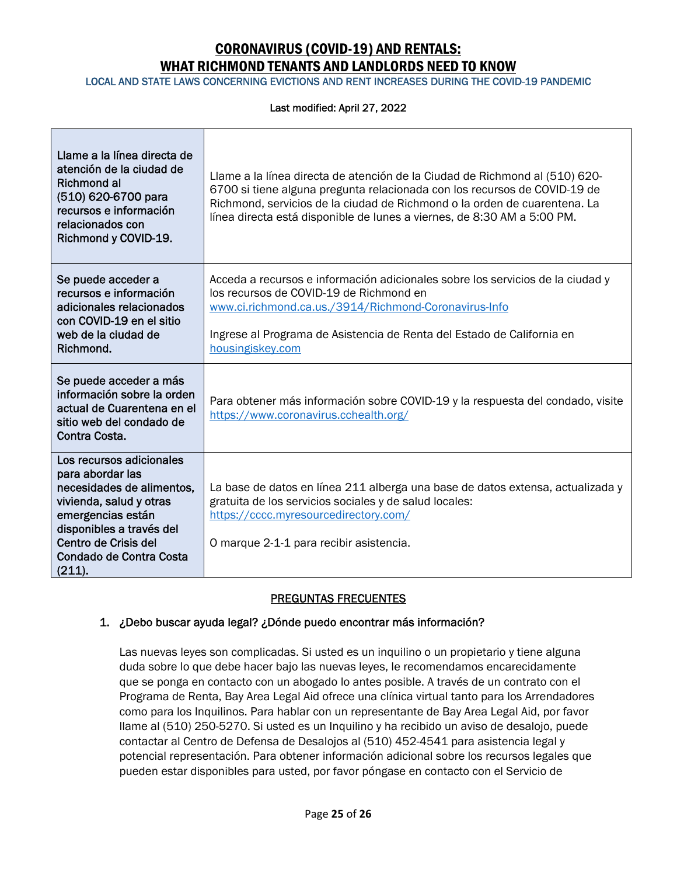LOCAL AND STATE LAWS CONCERNING EVICTIONS AND RENT INCREASES DURING THE COVID-19 PANDEMIC

#### Last modified: April 27, 2022

| Llame a la línea directa de<br>atención de la ciudad de<br>Richmond al<br>(510) 620-6700 para<br>recursos e información<br>relacionados con<br>Richmond y COVID-19.                                                | Llame a la línea directa de atención de la Ciudad de Richmond al (510) 620-<br>6700 si tiene alguna pregunta relacionada con los recursos de COVID-19 de<br>Richmond, servicios de la ciudad de Richmond o la orden de cuarentena. La<br>línea directa está disponible de lunes a viernes, de 8:30 AM a 5:00 PM. |
|--------------------------------------------------------------------------------------------------------------------------------------------------------------------------------------------------------------------|------------------------------------------------------------------------------------------------------------------------------------------------------------------------------------------------------------------------------------------------------------------------------------------------------------------|
| Se puede acceder a<br>recursos e información<br>adicionales relacionados<br>con COVID-19 en el sitio<br>web de la ciudad de<br>Richmond.                                                                           | Acceda a recursos e información adicionales sobre los servicios de la ciudad y<br>los recursos de COVID-19 de Richmond en<br>www.ci.richmond.ca.us./3914/Richmond-Coronavirus-Info<br>Ingrese al Programa de Asistencia de Renta del Estado de California en<br>housingiskey.com                                 |
| Se puede acceder a más<br>información sobre la orden<br>actual de Cuarentena en el<br>sitio web del condado de<br>Contra Costa.                                                                                    | Para obtener más información sobre COVID-19 y la respuesta del condado, visite<br>https://www.coronavirus.cchealth.org/                                                                                                                                                                                          |
| Los recursos adicionales<br>para abordar las<br>necesidades de alimentos,<br>vivienda, salud y otras<br>emergencias están<br>disponibles a través del<br>Centro de Crisis del<br>Condado de Contra Costa<br>(211). | La base de datos en línea 211 alberga una base de datos extensa, actualizada y<br>gratuita de los servicios sociales y de salud locales:<br>https://cccc.myresourcedirectory.com/<br>O marque 2-1-1 para recibir asistencia.                                                                                     |

### PREGUNTAS FRECUENTES

### 1. ¿Debo buscar ayuda legal? ¿Dónde puedo encontrar más información?

Las nuevas leyes son complicadas. Si usted es un inquilino o un propietario y tiene alguna duda sobre lo que debe hacer bajo las nuevas leyes, le recomendamos encarecidamente que se ponga en contacto con un abogado lo antes posible. A través de un contrato con el Programa de Renta, Bay Area Legal Aid ofrece una clínica virtual tanto para los Arrendadores como para los Inquilinos. Para hablar con un representante de Bay Area Legal Aid, por favor llame al (510) 250-5270. Si usted es un Inquilino y ha recibido un aviso de desalojo, puede contactar al Centro de Defensa de Desalojos al (510) 452-4541 para asistencia legal y potencial representación. Para obtener información adicional sobre los recursos legales que pueden estar disponibles para usted, por favor póngase en contacto con el Servicio de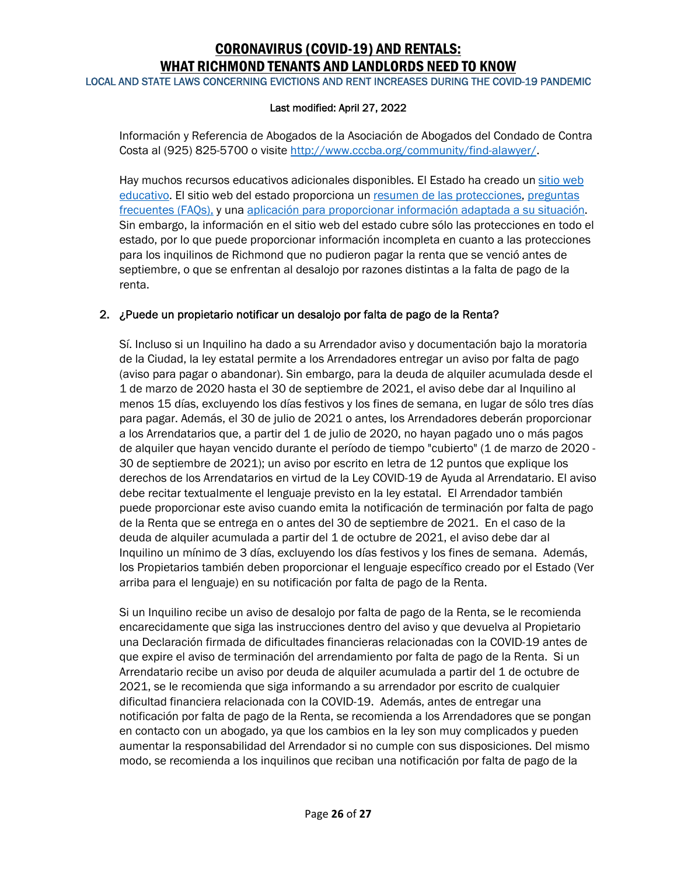LOCAL AND STATE LAWS CONCERNING EVICTIONS AND RENT INCREASES DURING THE COVID-19 PANDEMIC

### Last modified: April 27, 2022

Información y Referencia de Abogados de la Asociación de Abogados del Condado de Contra Costa al (925) 825-5700 o visite http://www.cccba.org/community/find-alawyer/.

Hay muchos recursos educativos adicionales disponibles. El Estado ha creado un sitio web educativo. El sitio web del estado proporciona un resumen de las protecciones, preguntas frecuentes (FAQs), y una aplicación para proporcionar información adaptada a su situación. Sin embargo, la información en el sitio web del estado cubre sólo las protecciones en todo el estado, por lo que puede proporcionar información incompleta en cuanto a las protecciones para los inquilinos de Richmond que no pudieron pagar la renta que se venció antes de septiembre, o que se enfrentan al desalojo por razones distintas a la falta de pago de la renta.

### 2. ¿Puede un propietario notificar un desalojo por falta de pago de la Renta?

Sí. Incluso si un Inquilino ha dado a su Arrendador aviso y documentación bajo la moratoria de la Ciudad, la ley estatal permite a los Arrendadores entregar un aviso por falta de pago (aviso para pagar o abandonar). Sin embargo, para la deuda de alquiler acumulada desde el 1 de marzo de 2020 hasta el 30 de septiembre de 2021, el aviso debe dar al Inquilino al menos 15 días, excluyendo los días festivos y los fines de semana, en lugar de sólo tres días para pagar. Además, el 30 de julio de 2021 o antes, los Arrendadores deberán proporcionar a los Arrendatarios que, a partir del 1 de julio de 2020, no hayan pagado uno o más pagos de alquiler que hayan vencido durante el período de tiempo "cubierto" (1 de marzo de 2020 - 30 de septiembre de 2021); un aviso por escrito en letra de 12 puntos que explique los derechos de los Arrendatarios en virtud de la Ley COVID-19 de Ayuda al Arrendatario. El aviso debe recitar textualmente el lenguaje previsto en la ley estatal. El Arrendador también puede proporcionar este aviso cuando emita la notificación de terminación por falta de pago de la Renta que se entrega en o antes del 30 de septiembre de 2021. En el caso de la deuda de alquiler acumulada a partir del 1 de octubre de 2021, el aviso debe dar al Inquilino un mínimo de 3 días, excluyendo los días festivos y los fines de semana. Además, los Propietarios también deben proporcionar el lenguaje específico creado por el Estado (Ver arriba para el lenguaje) en su notificación por falta de pago de la Renta.

Si un Inquilino recibe un aviso de desalojo por falta de pago de la Renta, se le recomienda encarecidamente que siga las instrucciones dentro del aviso y que devuelva al Propietario una Declaración firmada de dificultades financieras relacionadas con la COVID-19 antes de que expire el aviso de terminación del arrendamiento por falta de pago de la Renta. Si un Arrendatario recibe un aviso por deuda de alquiler acumulada a partir del 1 de octubre de 2021, se le recomienda que siga informando a su arrendador por escrito de cualquier dificultad financiera relacionada con la COVID-19. Además, antes de entregar una notificación por falta de pago de la Renta, se recomienda a los Arrendadores que se pongan en contacto con un abogado, ya que los cambios en la ley son muy complicados y pueden aumentar la responsabilidad del Arrendador si no cumple con sus disposiciones. Del mismo modo, se recomienda a los inquilinos que reciban una notificación por falta de pago de la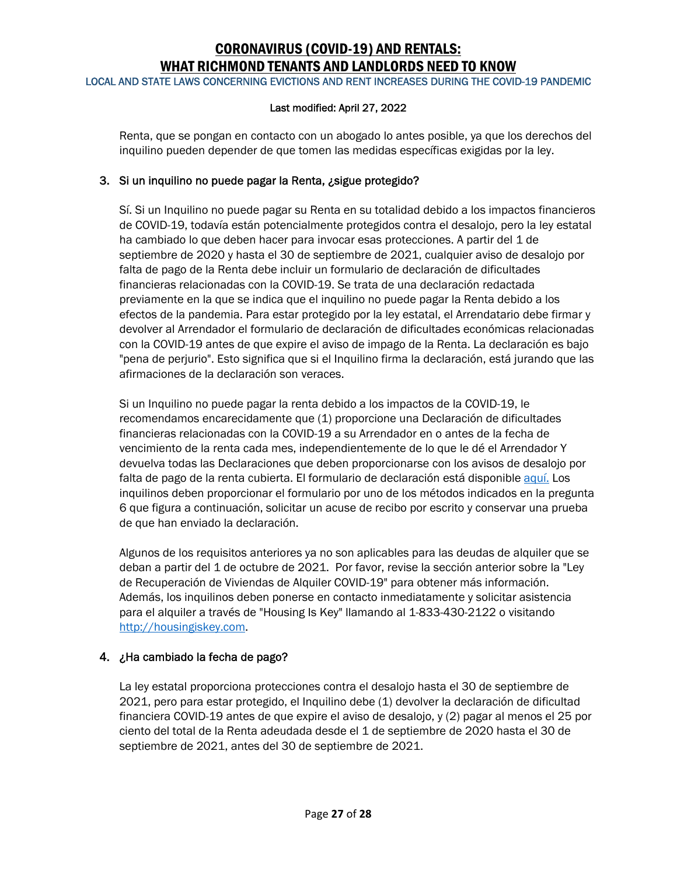LOCAL AND STATE LAWS CONCERNING EVICTIONS AND RENT INCREASES DURING THE COVID-19 PANDEMIC

### Last modified: April 27, 2022

Renta, que se pongan en contacto con un abogado lo antes posible, ya que los derechos del inquilino pueden depender de que tomen las medidas específicas exigidas por la ley.

### 3. Si un inquilino no puede pagar la Renta, ¿sigue protegido?

Sí. Si un Inquilino no puede pagar su Renta en su totalidad debido a los impactos financieros de COVID-19, todavía están potencialmente protegidos contra el desalojo, pero la ley estatal ha cambiado lo que deben hacer para invocar esas protecciones. A partir del 1 de septiembre de 2020 y hasta el 30 de septiembre de 2021, cualquier aviso de desalojo por falta de pago de la Renta debe incluir un formulario de declaración de dificultades financieras relacionadas con la COVID-19. Se trata de una declaración redactada previamente en la que se indica que el inquilino no puede pagar la Renta debido a los efectos de la pandemia. Para estar protegido por la ley estatal, el Arrendatario debe firmar y devolver al Arrendador el formulario de declaración de dificultades económicas relacionadas con la COVID-19 antes de que expire el aviso de impago de la Renta. La declaración es bajo "pena de perjurio". Esto significa que si el Inquilino firma la declaración, está jurando que las afirmaciones de la declaración son veraces.

Si un Inquilino no puede pagar la renta debido a los impactos de la COVID-19, le recomendamos encarecidamente que (1) proporcione una Declaración de dificultades financieras relacionadas con la COVID-19 a su Arrendador en o antes de la fecha de vencimiento de la renta cada mes, independientemente de lo que le dé el Arrendador Y devuelva todas las Declaraciones que deben proporcionarse con los avisos de desalojo por falta de pago de la renta cubierta. El formulario de declaración está disponible aquí. Los inquilinos deben proporcionar el formulario por uno de los métodos indicados en la pregunta 6 que figura a continuación, solicitar un acuse de recibo por escrito y conservar una prueba de que han enviado la declaración.

Algunos de los requisitos anteriores ya no son aplicables para las deudas de alquiler que se deban a partir del 1 de octubre de 2021. Por favor, revise la sección anterior sobre la "Ley de Recuperación de Viviendas de Alquiler COVID-19" para obtener más información. Además, los inquilinos deben ponerse en contacto inmediatamente y solicitar asistencia para el alquiler a través de "Housing Is Key" llamando al 1-833-430-2122 o visitando http://housingiskey.com.

### 4. ¿Ha cambiado la fecha de pago?

La ley estatal proporciona protecciones contra el desalojo hasta el 30 de septiembre de 2021, pero para estar protegido, el Inquilino debe (1) devolver la declaración de dificultad financiera COVID-19 antes de que expire el aviso de desalojo, y (2) pagar al menos el 25 por ciento del total de la Renta adeudada desde el 1 de septiembre de 2020 hasta el 30 de septiembre de 2021, antes del 30 de septiembre de 2021.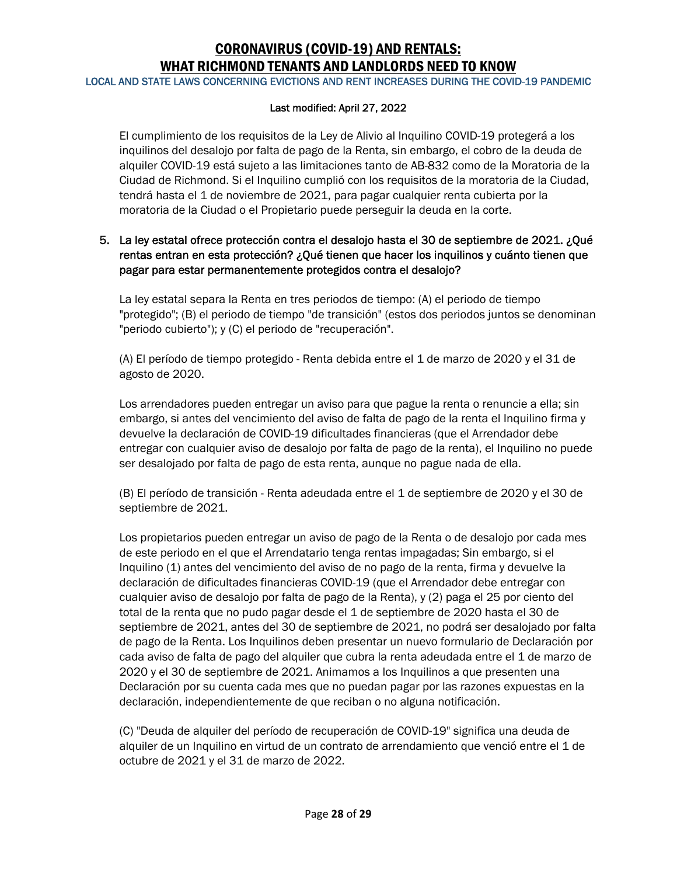LOCAL AND STATE LAWS CONCERNING EVICTIONS AND RENT INCREASES DURING THE COVID-19 PANDEMIC

#### Last modified: April 27, 2022

El cumplimiento de los requisitos de la Ley de Alivio al Inquilino COVID-19 protegerá a los inquilinos del desalojo por falta de pago de la Renta, sin embargo, el cobro de la deuda de alquiler COVID-19 está sujeto a las limitaciones tanto de AB-832 como de la Moratoria de la Ciudad de Richmond. Si el Inquilino cumplió con los requisitos de la moratoria de la Ciudad, tendrá hasta el 1 de noviembre de 2021, para pagar cualquier renta cubierta por la moratoria de la Ciudad o el Propietario puede perseguir la deuda en la corte.

### 5. La ley estatal ofrece protección contra el desalojo hasta el 30 de septiembre de 2021. ¿Qué rentas entran en esta protección? ¿Qué tienen que hacer los inquilinos y cuánto tienen que pagar para estar permanentemente protegidos contra el desalojo?

La ley estatal separa la Renta en tres periodos de tiempo: (A) el periodo de tiempo "protegido"; (B) el periodo de tiempo "de transición" (estos dos periodos juntos se denominan "periodo cubierto"); y (C) el periodo de "recuperación".

(A) El período de tiempo protegido - Renta debida entre el 1 de marzo de 2020 y el 31 de agosto de 2020.

Los arrendadores pueden entregar un aviso para que pague la renta o renuncie a ella; sin embargo, si antes del vencimiento del aviso de falta de pago de la renta el Inquilino firma y devuelve la declaración de COVID-19 dificultades financieras (que el Arrendador debe entregar con cualquier aviso de desalojo por falta de pago de la renta), el Inquilino no puede ser desalojado por falta de pago de esta renta, aunque no pague nada de ella.

(B) El período de transición - Renta adeudada entre el 1 de septiembre de 2020 y el 30 de septiembre de 2021.

Los propietarios pueden entregar un aviso de pago de la Renta o de desalojo por cada mes de este periodo en el que el Arrendatario tenga rentas impagadas; Sin embargo, si el Inquilino (1) antes del vencimiento del aviso de no pago de la renta, firma y devuelve la declaración de dificultades financieras COVID-19 (que el Arrendador debe entregar con cualquier aviso de desalojo por falta de pago de la Renta), y (2) paga el 25 por ciento del total de la renta que no pudo pagar desde el 1 de septiembre de 2020 hasta el 30 de septiembre de 2021, antes del 30 de septiembre de 2021, no podrá ser desalojado por falta de pago de la Renta. Los Inquilinos deben presentar un nuevo formulario de Declaración por cada aviso de falta de pago del alquiler que cubra la renta adeudada entre el 1 de marzo de 2020 y el 30 de septiembre de 2021. Animamos a los Inquilinos a que presenten una Declaración por su cuenta cada mes que no puedan pagar por las razones expuestas en la declaración, independientemente de que reciban o no alguna notificación.

(C) "Deuda de alquiler del período de recuperación de COVID-19" significa una deuda de alquiler de un Inquilino en virtud de un contrato de arrendamiento que venció entre el 1 de octubre de 2021 y el 31 de marzo de 2022.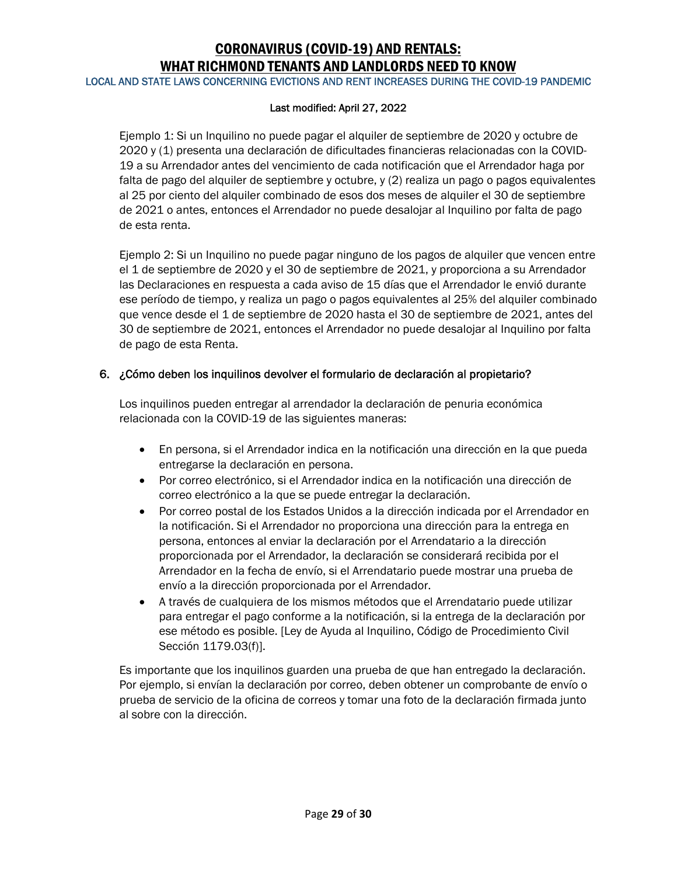LOCAL AND STATE LAWS CONCERNING EVICTIONS AND RENT INCREASES DURING THE COVID-19 PANDEMIC

#### Last modified: April 27, 2022

Ejemplo 1: Si un Inquilino no puede pagar el alquiler de septiembre de 2020 y octubre de 2020 y (1) presenta una declaración de dificultades financieras relacionadas con la COVID-19 a su Arrendador antes del vencimiento de cada notificación que el Arrendador haga por falta de pago del alquiler de septiembre y octubre, y (2) realiza un pago o pagos equivalentes al 25 por ciento del alquiler combinado de esos dos meses de alquiler el 30 de septiembre de 2021 o antes, entonces el Arrendador no puede desalojar al Inquilino por falta de pago de esta renta.

Ejemplo 2: Si un Inquilino no puede pagar ninguno de los pagos de alquiler que vencen entre el 1 de septiembre de 2020 y el 30 de septiembre de 2021, y proporciona a su Arrendador las Declaraciones en respuesta a cada aviso de 15 días que el Arrendador le envió durante ese período de tiempo, y realiza un pago o pagos equivalentes al 25% del alquiler combinado que vence desde el 1 de septiembre de 2020 hasta el 30 de septiembre de 2021, antes del 30 de septiembre de 2021, entonces el Arrendador no puede desalojar al Inquilino por falta de pago de esta Renta.

### 6. ¿Cómo deben los inquilinos devolver el formulario de declaración al propietario?

Los inquilinos pueden entregar al arrendador la declaración de penuria económica relacionada con la COVID-19 de las siguientes maneras:

- En persona, si el Arrendador indica en la notificación una dirección en la que pueda entregarse la declaración en persona.
- Por correo electrónico, si el Arrendador indica en la notificación una dirección de correo electrónico a la que se puede entregar la declaración.
- Por correo postal de los Estados Unidos a la dirección indicada por el Arrendador en la notificación. Si el Arrendador no proporciona una dirección para la entrega en persona, entonces al enviar la declaración por el Arrendatario a la dirección proporcionada por el Arrendador, la declaración se considerará recibida por el Arrendador en la fecha de envío, si el Arrendatario puede mostrar una prueba de envío a la dirección proporcionada por el Arrendador.
- A través de cualquiera de los mismos métodos que el Arrendatario puede utilizar para entregar el pago conforme a la notificación, si la entrega de la declaración por ese método es posible. [Ley de Ayuda al Inquilino, Código de Procedimiento Civil Sección 1179.03(f)].

Es importante que los inquilinos guarden una prueba de que han entregado la declaración. Por ejemplo, si envían la declaración por correo, deben obtener un comprobante de envío o prueba de servicio de la oficina de correos y tomar una foto de la declaración firmada junto al sobre con la dirección.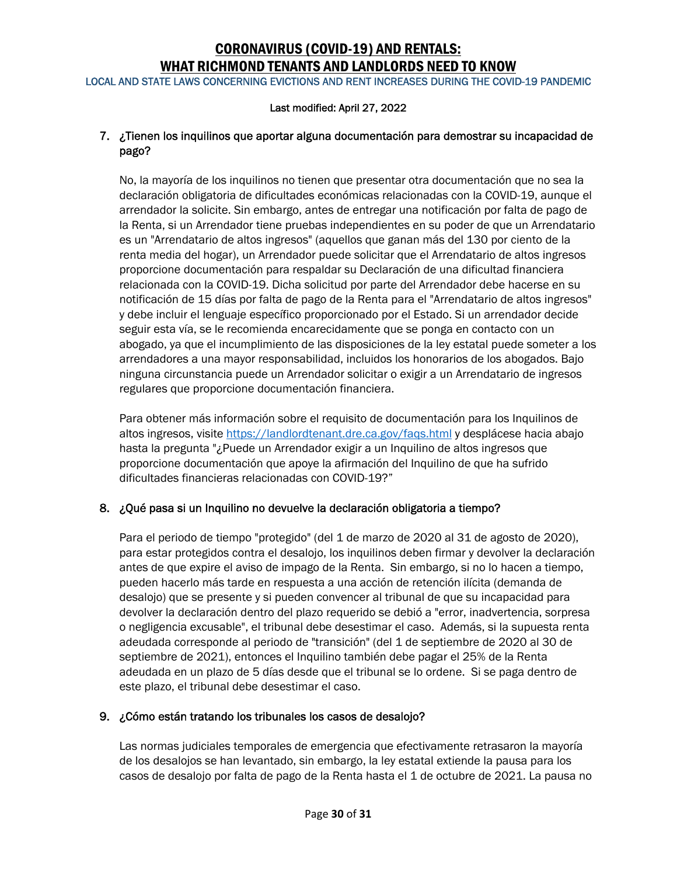LOCAL AND STATE LAWS CONCERNING EVICTIONS AND RENT INCREASES DURING THE COVID-19 PANDEMIC

#### Last modified: April 27, 2022

### 7. ¿Tienen los inquilinos que aportar alguna documentación para demostrar su incapacidad de pago?

No, la mayoría de los inquilinos no tienen que presentar otra documentación que no sea la declaración obligatoria de dificultades económicas relacionadas con la COVID-19, aunque el arrendador la solicite. Sin embargo, antes de entregar una notificación por falta de pago de la Renta, si un Arrendador tiene pruebas independientes en su poder de que un Arrendatario es un "Arrendatario de altos ingresos" (aquellos que ganan más del 130 por ciento de la renta media del hogar), un Arrendador puede solicitar que el Arrendatario de altos ingresos proporcione documentación para respaldar su Declaración de una dificultad financiera relacionada con la COVID-19. Dicha solicitud por parte del Arrendador debe hacerse en su notificación de 15 días por falta de pago de la Renta para el "Arrendatario de altos ingresos" y debe incluir el lenguaje específico proporcionado por el Estado. Si un arrendador decide seguir esta vía, se le recomienda encarecidamente que se ponga en contacto con un abogado, ya que el incumplimiento de las disposiciones de la ley estatal puede someter a los arrendadores a una mayor responsabilidad, incluidos los honorarios de los abogados. Bajo ninguna circunstancia puede un Arrendador solicitar o exigir a un Arrendatario de ingresos regulares que proporcione documentación financiera.

Para obtener más información sobre el requisito de documentación para los Inquilinos de altos ingresos, visite https://landlordtenant.dre.ca.gov/faqs.html y desplácese hacia abajo hasta la pregunta "¿Puede un Arrendador exigir a un Inquilino de altos ingresos que proporcione documentación que apoye la afirmación del Inquilino de que ha sufrido dificultades financieras relacionadas con COVID-19?"

### 8. ¿Qué pasa si un Inquilino no devuelve la declaración obligatoria a tiempo?

Para el periodo de tiempo "protegido" (del 1 de marzo de 2020 al 31 de agosto de 2020), para estar protegidos contra el desalojo, los inquilinos deben firmar y devolver la declaración antes de que expire el aviso de impago de la Renta. Sin embargo, si no lo hacen a tiempo, pueden hacerlo más tarde en respuesta a una acción de retención ilícita (demanda de desalojo) que se presente y si pueden convencer al tribunal de que su incapacidad para devolver la declaración dentro del plazo requerido se debió a "error, inadvertencia, sorpresa o negligencia excusable", el tribunal debe desestimar el caso. Además, si la supuesta renta adeudada corresponde al periodo de "transición" (del 1 de septiembre de 2020 al 30 de septiembre de 2021), entonces el Inquilino también debe pagar el 25% de la Renta adeudada en un plazo de 5 días desde que el tribunal se lo ordene. Si se paga dentro de este plazo, el tribunal debe desestimar el caso.

### 9. ¿Cómo están tratando los tribunales los casos de desalojo?

Las normas judiciales temporales de emergencia que efectivamente retrasaron la mayoría de los desalojos se han levantado, sin embargo, la ley estatal extiende la pausa para los casos de desalojo por falta de pago de la Renta hasta el 1 de octubre de 2021. La pausa no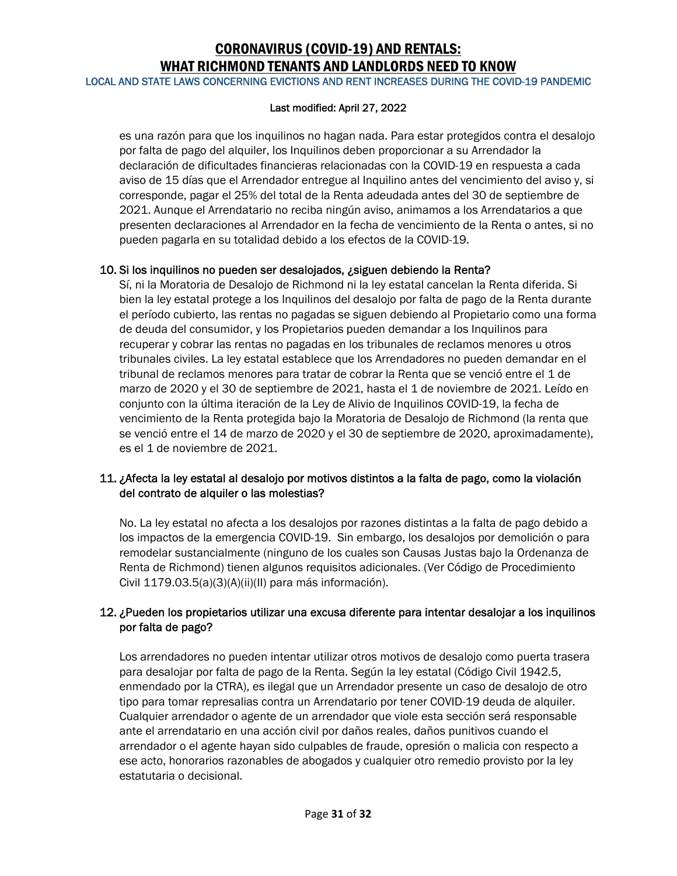LOCAL AND STATE LAWS CONCERNING EVICTIONS AND RENT INCREASES DURING THE COVID-19 PANDEMIC

#### Last modified: April 27, 2022

es una razón para que los inquilinos no hagan nada. Para estar protegidos contra el desalojo por falta de pago del alquiler, los Inquilinos deben proporcionar a su Arrendador la declaración de dificultades financieras relacionadas con la COVID-19 en respuesta a cada aviso de 15 días que el Arrendador entregue al Inquilino antes del vencimiento del aviso y, si corresponde, pagar el 25% del total de la Renta adeudada antes del 30 de septiembre de 2021. Aunque el Arrendatario no reciba ningún aviso, animamos a los Arrendatarios a que presenten declaraciones al Arrendador en la fecha de vencimiento de la Renta o antes, si no pueden pagarla en su totalidad debido a los efectos de la COVID-19.

### 10. Si los inquilinos no pueden ser desalojados, ¿siguen debiendo la Renta?

Sí, ni la Moratoria de Desalojo de Richmond ni la ley estatal cancelan la Renta diferida. Si bien la ley estatal protege a los Inquilinos del desalojo por falta de pago de la Renta durante el período cubierto, las rentas no pagadas se siguen debiendo al Propietario como una forma de deuda del consumidor, y los Propietarios pueden demandar a los Inquilinos para recuperar y cobrar las rentas no pagadas en los tribunales de reclamos menores u otros tribunales civiles. La ley estatal establece que los Arrendadores no pueden demandar en el tribunal de reclamos menores para tratar de cobrar la Renta que se venció entre el 1 de marzo de 2020 y el 30 de septiembre de 2021, hasta el 1 de noviembre de 2021. Leído en conjunto con la última iteración de la Ley de Alivio de Inquilinos COVID-19, la fecha de vencimiento de la Renta protegida bajo la Moratoria de Desalojo de Richmond (la renta que se venció entre el 14 de marzo de 2020 y el 30 de septiembre de 2020, aproximadamente), es el 1 de noviembre de 2021.

### 11. ¿Afecta la ley estatal al desalojo por motivos distintos a la falta de pago, como la violación del contrato de alquiler o las molestias?

No. La ley estatal no afecta a los desalojos por razones distintas a la falta de pago debido a los impactos de la emergencia COVID-19. Sin embargo, los desalojos por demolición o para remodelar sustancialmente (ninguno de los cuales son Causas Justas bajo la Ordenanza de Renta de Richmond) tienen algunos requisitos adicionales. (Ver Código de Procedimiento Civil 1179.03.5(a)(3)(A)(ii)(II) para más información).

### 12. ¿Pueden los propietarios utilizar una excusa diferente para intentar desalojar a los inquilinos por falta de pago?

Los arrendadores no pueden intentar utilizar otros motivos de desalojo como puerta trasera para desalojar por falta de pago de la Renta. Según la ley estatal (Código Civil 1942.5, enmendado por la CTRA), es ilegal que un Arrendador presente un caso de desalojo de otro tipo para tomar represalias contra un Arrendatario por tener COVID-19 deuda de alquiler. Cualquier arrendador o agente de un arrendador que viole esta sección será responsable ante el arrendatario en una acción civil por daños reales, daños punitivos cuando el arrendador o el agente hayan sido culpables de fraude, opresión o malicia con respecto a ese acto, honorarios razonables de abogados y cualquier otro remedio provisto por la ley estatutaria o decisional.